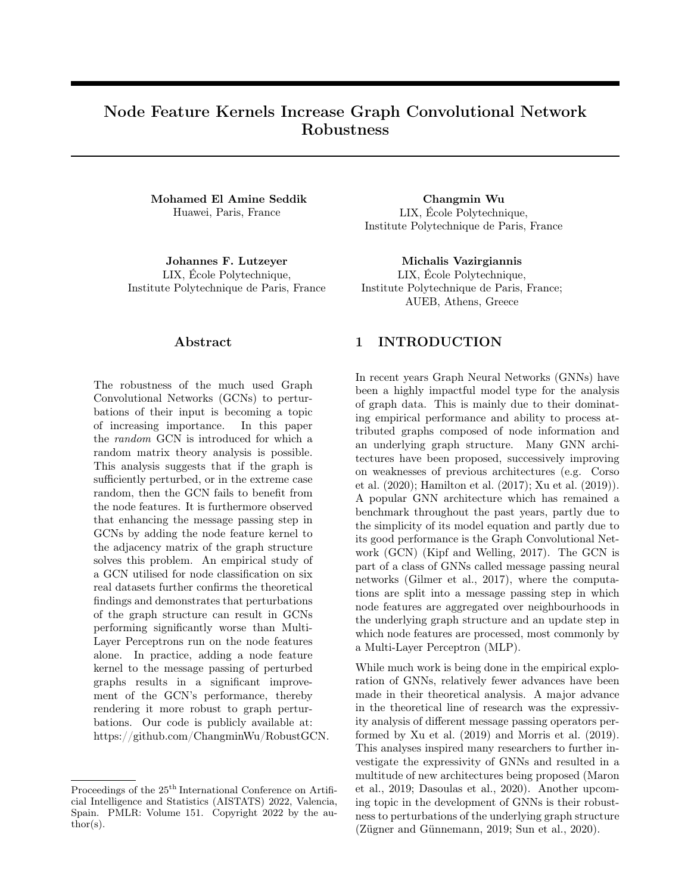# Node Feature Kernels Increase Graph Convolutional Network Robustness

Mohamed El Amine Seddik Huawei, Paris, France

Johannes F. Lutzeyer LIX, École Polytechnique, Institute Polytechnique de Paris, France

Changmin Wu LIX, École Polytechnique, Institute Polytechnique de Paris, France

Michalis Vazirgiannis LIX, École Polytechnique, Institute Polytechnique de Paris, France; AUEB, Athens, Greece

### Abstract

The robustness of the much used Graph Convolutional Networks (GCNs) to perturbations of their input is becoming a topic of increasing importance. In this paper the random GCN is introduced for which a random matrix theory analysis is possible. This analysis suggests that if the graph is sufficiently perturbed, or in the extreme case random, then the GCN fails to benefit from the node features. It is furthermore observed that enhancing the message passing step in GCNs by adding the node feature kernel to the adjacency matrix of the graph structure solves this problem. An empirical study of a GCN utilised for node classification on six real datasets further confirms the theoretical findings and demonstrates that perturbations of the graph structure can result in GCNs performing significantly worse than Multi-Layer Perceptrons run on the node features alone. In practice, adding a node feature kernel to the message passing of perturbed graphs results in a significant improvement of the GCN's performance, thereby rendering it more robust to graph perturbations. Our code is publicly available at: [https://github.com/ChangminWu/RobustGCN.](https://github.com/ChangminWu/RobustGCN)

Proceedings of the  $25<sup>th</sup>$  International Conference on Artificial Intelligence and Statistics (AISTATS) 2022, Valencia, Spain. PMLR: Volume 151. Copyright 2022 by the au- $\text{thor}(s)$ .

### 1 INTRODUCTION

In recent years Graph Neural Networks (GNNs) have been a highly impactful model type for the analysis of graph data. This is mainly due to their dominating empirical performance and ability to process attributed graphs composed of node information and an underlying graph structure. Many GNN architectures have been proposed, successively improving on weaknesses of previous architectures (e.g. [Corso](#page-8-0) [et al.](#page-8-0) [\(2020\)](#page-8-0); [Hamilton et al.](#page-9-0) [\(2017\)](#page-9-0); [Xu et al.](#page-9-1) [\(2019\)](#page-9-1)). A popular GNN architecture which has remained a benchmark throughout the past years, partly due to the simplicity of its model equation and partly due to its good performance is the Graph Convolutional Network (GCN) [\(Kipf and Welling, 2017\)](#page-9-2). The GCN is part of a class of GNNs called message passing neural networks [\(Gilmer et al., 2017\)](#page-9-3), where the computations are split into a message passing step in which node features are aggregated over neighbourhoods in the underlying graph structure and an update step in which node features are processed, most commonly by a Multi-Layer Perceptron (MLP).

While much work is being done in the empirical exploration of GNNs, relatively fewer advances have been made in their theoretical analysis. A major advance in the theoretical line of research was the expressivity analysis of different message passing operators performed by [Xu et al.](#page-9-1) [\(2019\)](#page-9-1) and [Morris et al.](#page-9-4) [\(2019\)](#page-9-4). This analyses inspired many researchers to further investigate the expressivity of GNNs and resulted in a multitude of new architectures being proposed [\(Maron](#page-9-5) [et al., 2019;](#page-9-5) [Dasoulas et al., 2020\)](#page-8-1). Another upcoming topic in the development of GNNs is their robustness to perturbations of the underlying graph structure [\(Zügner and Günnemann, 2019;](#page-10-0) [Sun et al., 2020\)](#page-9-6).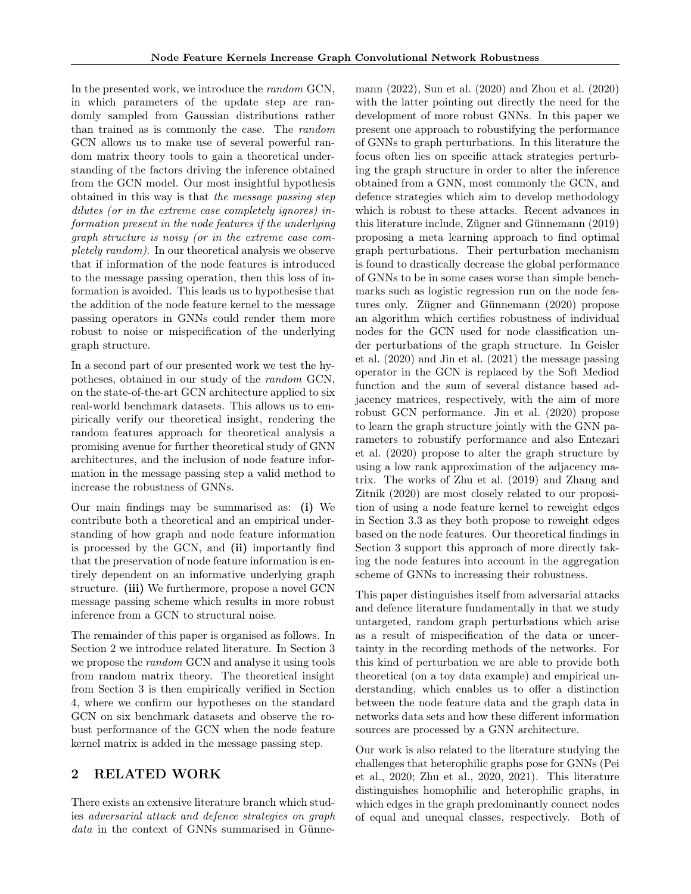In the presented work, we introduce the *random* GCN, in which parameters of the update step are randomly sampled from Gaussian distributions rather than trained as is commonly the case. The random GCN allows us to make use of several powerful random matrix theory tools to gain a theoretical understanding of the factors driving the inference obtained from the GCN model. Our most insightful hypothesis obtained in this way is that the message passing step dilutes (or in the extreme case completely ignores) information present in the node features if the underlying graph structure is noisy (or in the extreme case completely random). In our theoretical analysis we observe that if information of the node features is introduced to the message passing operation, then this loss of information is avoided. This leads us to hypothesise that the addition of the node feature kernel to the message passing operators in GNNs could render them more robust to noise or mispecification of the underlying graph structure.

In a second part of our presented work we test the hypotheses, obtained in our study of the random GCN, on the state-of-the-art GCN architecture applied to six real-world benchmark datasets. This allows us to empirically verify our theoretical insight, rendering the random features approach for theoretical analysis a promising avenue for further theoretical study of GNN architectures, and the inclusion of node feature information in the message passing step a valid method to increase the robustness of GNNs.

Our main findings may be summarised as: (i) We contribute both a theoretical and an empirical understanding of how graph and node feature information is processed by the GCN, and (ii) importantly find that the preservation of node feature information is entirely dependent on an informative underlying graph structure. (iii) We furthermore, propose a novel GCN message passing scheme which results in more robust inference from a GCN to structural noise.

The remainder of this paper is organised as follows. In Section [2](#page-1-0) we introduce related literature. In Section [3](#page-2-0) we propose the random GCN and analyse it using tools from random matrix theory. The theoretical insight from Section [3](#page-2-0) is then empirically verified in Section [4,](#page-5-0) where we confirm our hypotheses on the standard GCN on six benchmark datasets and observe the robust performance of the GCN when the node feature kernel matrix is added in the message passing step.

# <span id="page-1-0"></span>2 RELATED WORK

There exists an extensive literature branch which studies adversarial attack and defence strategies on graph data in the context of GNNs summarised in [Günne-](#page-9-7) [mann](#page-9-7) [\(2022\)](#page-9-7), [Sun et al.](#page-9-6) [\(2020\)](#page-9-6) and [Zhou et al.](#page-10-1) [\(2020\)](#page-10-1) with the latter pointing out directly the need for the development of more robust GNNs. In this paper we present one approach to robustifying the performance of GNNs to graph perturbations. In this literature the focus often lies on specific attack strategies perturbing the graph structure in order to alter the inference obtained from a GNN, most commonly the GCN, and defence strategies which aim to develop methodology which is robust to these attacks. Recent advances in this literature include, [Zügner and Günnemann](#page-10-0) [\(2019\)](#page-10-0) proposing a meta learning approach to find optimal graph perturbations. Their perturbation mechanism is found to drastically decrease the global performance of GNNs to be in some cases worse than simple benchmarks such as logistic regression run on the node features only. [Zügner and Günnemann](#page-10-2) [\(2020\)](#page-10-2) propose an algorithm which certifies robustness of individual nodes for the GCN used for node classification under perturbations of the graph structure. In [Geisler](#page-9-8) [et al.](#page-9-8) [\(2020\)](#page-9-8) and [Jin et al.](#page-9-9) [\(2021\)](#page-9-9) the message passing operator in the GCN is replaced by the Soft Mediod function and the sum of several distance based adjacency matrices, respectively, with the aim of more robust GCN performance. [Jin et al.](#page-9-10) [\(2020\)](#page-9-10) propose to learn the graph structure jointly with the GNN parameters to robustify performance and also [Entezari](#page-8-2) [et al.](#page-8-2) [\(2020\)](#page-8-2) propose to alter the graph structure by using a low rank approximation of the adjacency matrix. The works of [Zhu et al.](#page-10-3) [\(2019\)](#page-10-3) and [Zhang and](#page-10-4) [Zitnik](#page-10-4) [\(2020\)](#page-10-4) are most closely related to our proposition of using a node feature kernel to reweight edges in Section [3.3](#page-4-0) as they both propose to reweight edges based on the node features. Our theoretical findings in Section [3](#page-2-0) support this approach of more directly taking the node features into account in the aggregation scheme of GNNs to increasing their robustness.

This paper distinguishes itself from adversarial attacks and defence literature fundamentally in that we study untargeted, random graph perturbations which arise as a result of mispecification of the data or uncertainty in the recording methods of the networks. For this kind of perturbation we are able to provide both theoretical (on a toy data example) and empirical understanding, which enables us to offer a distinction between the node feature data and the graph data in networks data sets and how these different information sources are processed by a GNN architecture.

Our work is also related to the literature studying the challenges that heterophilic graphs pose for GNNs [\(Pei](#page-9-11) [et al., 2020;](#page-9-11) [Zhu et al., 2020,](#page-10-5) [2021\)](#page-10-6). This literature distinguishes homophilic and heterophilic graphs, in which edges in the graph predominantly connect nodes of equal and unequal classes, respectively. Both of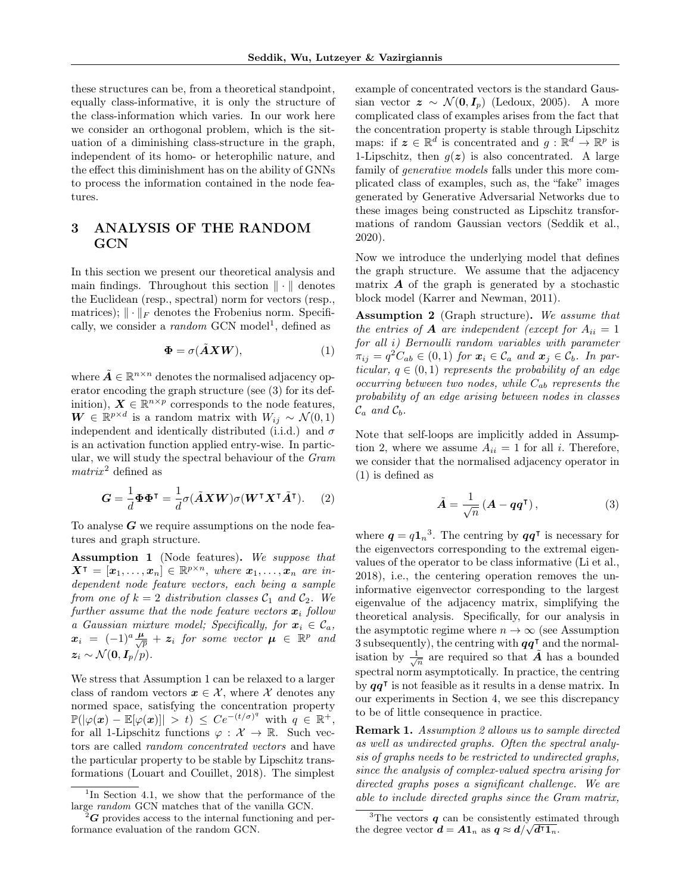these structures can be, from a theoretical standpoint, equally class-informative, it is only the structure of the class-information which varies. In our work here we consider an orthogonal problem, which is the situation of a diminishing class-structure in the graph, independent of its homo- or heterophilic nature, and the effect this diminishment has on the ability of GNNs to process the information contained in the node features.

# <span id="page-2-0"></span>3 ANALYSIS OF THE RANDOM GCN

In this section we present our theoretical analysis and main findings. Throughout this section  $\|\cdot\|$  denotes the Euclidean (resp., spectral) norm for vectors (resp., matrices);  $\|\cdot\|_F$  denotes the Frobenius norm. Specifically, we consider a *random* GCN model<sup>[1](#page-2-1)</sup>, defined as

$$
\Phi = \sigma(\tilde{A}XW),\tag{1}
$$

where  $\tilde{A} \in \mathbb{R}^{n \times n}$  denotes the normalised adjacency operator encoding the graph structure (see [\(3\)](#page-2-2) for its definition),  $\mathbf{X} \in \mathbb{R}^{n \times p}$  corresponds to the node features,  $\mathbf{W} \in \mathbb{R}^{p \times d}$  is a random matrix with  $W_{ij} \sim \mathcal{N}(0, 1)$ independent and identically distributed (i.i.d.) and  $\sigma$ is an activation function applied entry-wise. In particular, we will study the spectral behaviour of the Gram  $matrix<sup>2</sup>$  $matrix<sup>2</sup>$  $matrix<sup>2</sup>$  defined as

$$
G = \frac{1}{d} \Phi \Phi^{\mathsf{T}} = \frac{1}{d} \sigma(\tilde{A} X W) \sigma(W^{\mathsf{T}} X^{\mathsf{T}} \tilde{A}^{\mathsf{T}}).
$$
 (2)

To analyse  $G$  we require assumptions on the node features and graph structure.

<span id="page-2-4"></span>Assumption 1 (Node features). We suppose that  $\boldsymbol{X}^{\intercal} = [\boldsymbol{x}_1, \dots, \boldsymbol{x}_n] \in \mathbb{R}^{p \times n}$ , where  $\boldsymbol{x}_1, \dots, \boldsymbol{x}_n$  are independent node feature vectors, each being a sample from one of  $k = 2$  distribution classes  $C_1$  and  $C_2$ . We further assume that the node feature vectors  $x_i$  follow a Gaussian mixture model; Specifically, for  $x_i \in C_a$ ,  $\boldsymbol{x}_i$  =  $(-1)^a \frac{\boldsymbol{\mu}}{\sqrt{p}} + \boldsymbol{z}_i$  for some vector  $\boldsymbol{\mu}$   $\in$   $\mathbb{R}^p$  and  $z_i \sim \mathcal{N}(\mathbf{0}, \mathbf{I}_p/p).$ 

We stress that Assumption [1](#page-2-4) can be relaxed to a larger class of random vectors  $x \in \mathcal{X}$ , where X denotes any normed space, satisfying the concentration property  $\mathbb{P}(|\varphi(\boldsymbol{x}) - \mathbb{E}[\varphi(\boldsymbol{x})]| > t) \leq Ce^{-(t/\sigma)^q}$  with  $q \in \mathbb{R}^+,$ for all 1-Lipschitz functions  $\varphi : \mathcal{X} \to \mathbb{R}$ . Such vectors are called random concentrated vectors and have the particular property to be stable by Lipschitz transformations [\(Louart and Couillet, 2018\)](#page-9-12). The simplest example of concentrated vectors is the standard Gaussian vector  $z \sim \mathcal{N}(\mathbf{0}, I_p)$  [\(Ledoux, 2005\)](#page-9-13). A more complicated class of examples arises from the fact that the concentration property is stable through Lipschitz maps: if  $\mathbf{z} \in \mathbb{R}^d$  is concentrated and  $g: \mathbb{R}^d \to \mathbb{R}^p$  is 1-Lipschitz, then  $q(z)$  is also concentrated. A large family of generative models falls under this more complicated class of examples, such as, the "fake" images generated by Generative Adversarial Networks due to these images being constructed as Lipschitz transformations of random Gaussian vectors [\(Seddik et al.,](#page-9-14) [2020\)](#page-9-14).

Now we introduce the underlying model that defines the graph structure. We assume that the adjacency matrix  $\boldsymbol{A}$  of the graph is generated by a stochastic block model [\(Karrer and Newman, 2011\)](#page-9-15).

<span id="page-2-7"></span><span id="page-2-5"></span>Assumption 2 (Graph structure). We assume that the entries of **A** are independent (except for  $A_{ii} = 1$ for all i) Bernoulli random variables with parameter  $\pi_{ij} = q^2 C_{ab} \in (0,1)$  for  $\mathbf{x}_i \in \mathcal{C}_a$  and  $\mathbf{x}_j \in \mathcal{C}_b$ . In particular,  $q \in (0,1)$  represents the probability of an edge occurring between two nodes, while  $C_{ab}$  represents the probability of an edge arising between nodes in classes  $\mathcal{C}_a$  and  $\mathcal{C}_b$ .

Note that self-loops are implicitly added in Assumption 2, where we assume  $A_{ii} = 1$  for all *i*. Therefore, we consider that the normalised adjacency operator in [\(1\)](#page-2-5) is defined as

<span id="page-2-2"></span>
$$
\tilde{A} = \frac{1}{\sqrt{n}} \left( A - q q^{\mathsf{T}} \right),\tag{3}
$$

<span id="page-2-8"></span>where  $q = q1_n^3$  $q = q1_n^3$ . The centring by  $qq^{\dagger}$  is necessary for the eigenvectors corresponding to the extremal eigenvalues of the operator to be class informative [\(Li et al.,](#page-9-16) [2018\)](#page-9-16), i.e., the centering operation removes the uninformative eigenvector corresponding to the largest eigenvalue of the adjacency matrix, simplifying the theoretical analysis. Specifically, for our analysis in the asymptotic regime where  $n \to \infty$  (see Assumption [3](#page-3-0) subsequently), the centring with  $qq^{\dagger}$  and the normalisation by  $\frac{1}{\sqrt{n}}$  are required so that  $\tilde{A}$  has a bounded spectral norm asymptotically. In practice, the centring by  $qq^{\dagger}$  is not feasible as it results in a dense matrix. In our experiments in Section [4,](#page-5-0) we see this discrepancy to be of little consequence in practice.

Remark 1. Assumption [2](#page-2-7) allows us to sample directed as well as undirected graphs. Often the spectral analysis of graphs needs to be restricted to undirected graphs, since the analysis of complex-valued spectra arising for directed graphs poses a significant challenge. We are able to include directed graphs since the Gram matrix,

<span id="page-2-1"></span><sup>&</sup>lt;sup>1</sup>In Section [4.1,](#page-6-0) we show that the performance of the large random GCN matches that of the vanilla GCN.

<span id="page-2-3"></span> $\mathbf{Z}$  provides access to the internal functioning and performance evaluation of the random GCN.

<span id="page-2-6"></span><sup>&</sup>lt;sup>3</sup>The vectors  $q$  can be consistently estimated through the degree vector  $\boldsymbol{d} = \boldsymbol{A} \boldsymbol{1}_n$  as  $\boldsymbol{q} \approx \boldsymbol{d}/\sqrt{\boldsymbol{d}^{\intercal} \boldsymbol{1}_n}$ .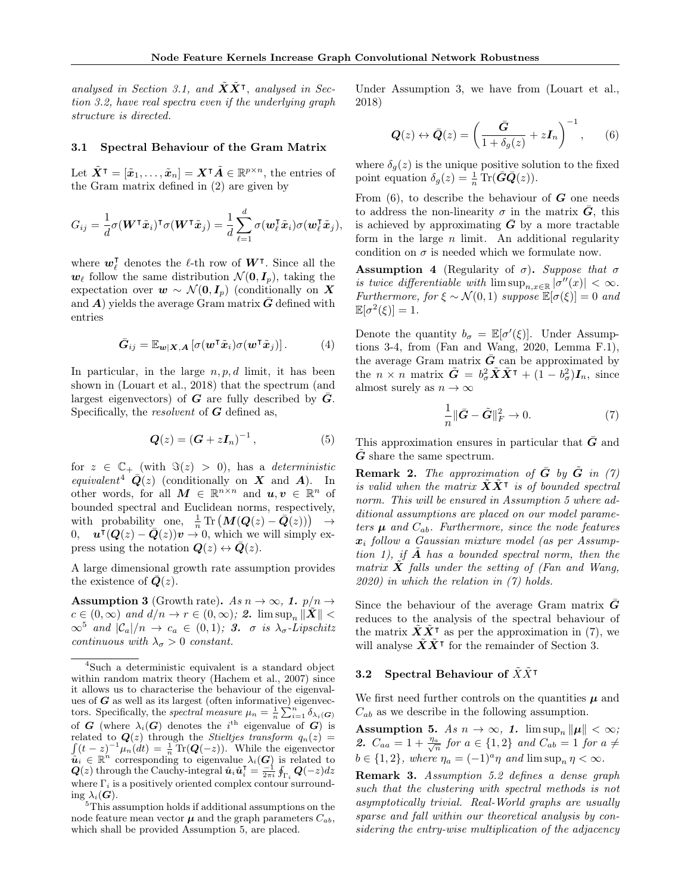analysed in Section [3.1,](#page-3-1) and  $\tilde{X}\tilde{X}^{\intercal}$ , analysed in Section [3.2,](#page-3-2) have real spectra even if the underlying graph structure is directed.

#### <span id="page-3-1"></span>3.1 Spectral Behaviour of the Gram Matrix

Let  $\tilde{X}^{\intercal} = [\tilde{x}_1, \ldots, \tilde{x}_n] = X^{\intercal} \tilde{A} \in \mathbb{R}^{p \times n}$ , the entries of the Gram matrix defined in [\(2\)](#page-2-8) are given by

$$
G_{ij} = \frac{1}{d} \sigma(\mathbf{W}^{\mathsf{T}} \tilde{\mathbf{x}}_i)^{\mathsf{T}} \sigma(\mathbf{W}^{\mathsf{T}} \tilde{\mathbf{x}}_j) = \frac{1}{d} \sum_{\ell=1}^d \sigma(\mathbf{w}_{\ell}^{\mathsf{T}} \tilde{\mathbf{x}}_i) \sigma(\mathbf{w}_{\ell}^{\mathsf{T}} \tilde{\mathbf{x}}_j),
$$

where  $w_{\ell}^{\dagger}$  $_{\ell}^{\intercal}$  denotes the  $\ell\text{-th}$  row of  $\bm{W}^{\intercal}.$  Since all the  $w_{\ell}$  follow the same distribution  $\mathcal{N} (\mathbf{0}, \mathbf{I}_p)$ , taking the expectation over  $w \sim \mathcal{N}(0, I_p)$  (conditionally on X and  $\vec{A}$ ) yields the average Gram matrix  $\vec{G}$  defined with entries

$$
\bar{G}_{ij} = \mathbb{E}_{\mathbf{w}|\mathbf{X},\mathbf{A}} \left[ \sigma(\mathbf{w}^\mathsf{T} \tilde{\mathbf{x}}_i) \sigma(\mathbf{w}^\mathsf{T} \tilde{\mathbf{x}}_j) \right]. \tag{4}
$$

In particular, in the large  $n, p, d$  limit, it has been shown in [\(Louart et al., 2018\)](#page-9-17) that the spectrum (and largest eigenvectors) of  $G$  are fully described by  $\overline{G}$ . Specifically, the *resolvent* of  $G$  defined as,

$$
Q(z) = \left(G + zI_n\right)^{-1},\tag{5}
$$

for  $z \in \mathbb{C}_+$  (with  $\Im(z) > 0$ ), has a *deterministic* equivalent<sup>[4](#page-3-3)</sup>  $\overline{Q}(z)$  (conditionally on X and A). In other words, for all  $M \in \mathbb{R}^{n \times n}$  and  $u, v \in \mathbb{R}^n$  of bounded spectral and Euclidean norms, respectively,  $\text{with probability\_ one, } \frac{1}{n} \text{Tr} \left( \bm{M}(\bm{Q}(z) - \bar{\bm{Q}}(z)) \right) \rightarrow$  $\mathbf{u}^{\dagger}(\mathbf{Q}(z) - \bar{\mathbf{Q}}(z))\mathbf{v} \to 0$ , which we will simply express using the notation  $Q(z) \leftrightarrow \overline{Q}(z)$ .

A large dimensional growth rate assumption provides the existence of  $Q(z)$ .

<span id="page-3-0"></span>**Assumption 3** (Growth rate). As  $n \to \infty$ , 1.  $p/n \to$  $c \in (0,\infty)$  and  $d/n \to r \in (0,\infty)$ ; 2.  $\limsup_n \|\tilde{\boldsymbol{X}}\|$  $\infty^5$  $\infty^5$  and  $|\mathcal{C}_a|/n \to c_a \in (0,1);$  3.  $\sigma$  is  $\lambda_{\sigma}$ -Lipschitz continuous with  $\lambda_{\sigma} > 0$  constant.

Under Assumption [3,](#page-3-0) we have from [\(Louart et al.,](#page-9-17) [2018\)](#page-9-17)

<span id="page-3-6"></span>
$$
\mathbf{Q}(z) \leftrightarrow \bar{\mathbf{Q}}(z) = \left(\frac{\bar{\mathbf{G}}}{1 + \delta_g(z)} + z\mathbf{I}_n\right)^{-1},\qquad(6)
$$

where  $\delta_g(z)$  is the unique positive solution to the fixed point equation  $\delta_g(z) = \frac{1}{n} \operatorname{Tr}(\bar{G}\bar{Q}(z)).$ 

From  $(6)$ , to describe the behaviour of  $G$  one needs to address the non-linearity  $\sigma$  in the matrix  $\bar{G}$ , this is achieved by approximating  $\bar{G}$  by a more tractable form in the large  $n$  limit. An additional regularity condition on  $\sigma$  is needed which we formulate now.

<span id="page-3-7"></span>**Assumption 4** (Regularity of  $\sigma$ ). Suppose that  $\sigma$ is twice differentiable with  $\limsup_{n,x\in\mathbb{R}}|\sigma''(x)| < \infty$ . Furthermore, for  $\xi \sim \mathcal{N}(0, 1)$  suppose  $\mathbb{E}[\sigma(\xi)] = 0$  and  $\mathbb{E}[\sigma^2(\xi)] = 1.$ 

Denote the quantity  $b_{\sigma} = \mathbb{E}[\sigma'(\xi)]$ . Under Assumptions [3-](#page-3-0)[4,](#page-3-7) from [\(Fan and Wang, 2020,](#page-9-19) Lemma F.1), the average Gram matrix  $\bar{G}$  can be approximated by the  $n \times n$  matrix  $\tilde{G} = b_{\sigma}^2 \tilde{X} \tilde{X}^{\intercal} + (1 - b_{\sigma}^2) I_n$ , since almost surely as  $n \to \infty$ 

<span id="page-3-8"></span>
$$
\frac{1}{n} \|\bar{G} - \tilde{G}\|_F^2 \to 0. \tag{7}
$$

This approximation ensures in particular that  $\bar{G}$  and G share the same spectrum.

**Remark 2.** The approximation of  $\bar{G}$  by  $\tilde{G}$  in [\(7\)](#page-3-8) is valid when the matrix  $\tilde{\mathbf{X}} \tilde{\mathbf{X}}^{\intercal}$  is of bounded spectral norm. This will be ensured in Assumption [5](#page-3-5) where additional assumptions are placed on our model parameters  $\mu$  and  $C_{ab}$ . Furthermore, since the node features  $x_i$  follow a Gaussian mixture model (as per Assump-tion [1\)](#page-2-4), if  $\bf{A}$  has a bounded spectral norm, then the matrix  $X$  falls under the setting of [\(Fan and Wang,](#page-9-19) [2020\)](#page-9-19) in which the relation in [\(7\)](#page-3-8) holds.

Since the behaviour of the average Gram matrix  $\vec{G}$ reduces to the analysis of the spectral behaviour of the matrix  $\tilde{\mathbf{X}} \tilde{\mathbf{X}}^{\mathsf{T}}$  as per the approximation in [\(7\)](#page-3-8), we will analyse  $\tilde{X}\tilde{X}^{\intercal}$  for the remainder of Section [3.](#page-2-0)

## <span id="page-3-2"></span>3.2 Spectral Behaviour of  $\tilde{X}\tilde{X}^{\dagger}$

We first need further controls on the quantities  $\mu$  and  $C_{ab}$  as we describe in the following assumption.

<span id="page-3-5"></span>Assumption 5. As  $n \to \infty$ , 1.  $\limsup_n ||\mu|| < \infty$ ; 2.  $C_{aa} = 1 + \frac{\eta_a}{\sqrt{n}}$  for  $a \in \{1,2\}$  and  $C_{ab} = 1$  for  $a \neq$  $b \in \{1,2\}$ , where  $\eta_a = (-1)^a \eta$  and  $\limsup_n \eta < \infty$ .

Remark 3. Assumption [5.](#page-3-5)2 defines a dense graph such that the clustering with spectral methods is not asymptotically trivial. Real-World graphs are usually sparse and fall within our theoretical analysis by considering the entry-wise multiplication of the adjacency

<span id="page-3-3"></span><sup>4</sup>Such a deterministic equivalent is a standard object within random matrix theory [\(Hachem et al., 2007\)](#page-9-18) since it allows us to characterise the behaviour of the eigenvalues of  $G$  as well as its largest (often informative) eigenvectors. Specifically, the *spectral measure*  $\mu_n = \frac{1}{n} \sum_{i=1}^n \delta_{\lambda_i(G)}$ of G (where  $\lambda_i(G)$  denotes the i<sup>th</sup> eigenvalue of G) is related to  $\mathbf{Q}(z)$  through the *Stieltjes transform*  $q_n(z) =$  $\int (t-z)^{-1} \mu_n(dt) = \frac{1}{n} \text{Tr}(\mathbf{Q}(-z)).$  While the eigenvector  $\hat{u}_i \in \mathbb{R}^n$  corresponding to eigenvalue  $\lambda_i(G)$  is related to  $\bm{Q}(z)$  through the Cauchy-integral  $\hat{\bm{u}}_i\hat{\bm{u}}_i^{\intercal}=\frac{-1}{2\pi i}\oint_{\Gamma_i}\bm{Q}(-z)dz$ where  $\Gamma_i$  is a positively oriented complex contour surrounding  $\lambda_i(G)$ .

<span id="page-3-4"></span><sup>5</sup>This assumption holds if additional assumptions on the node feature mean vector  $\mu$  and the graph parameters  $C_{ab}$ , which shall be provided Assumption [5,](#page-3-5) are placed.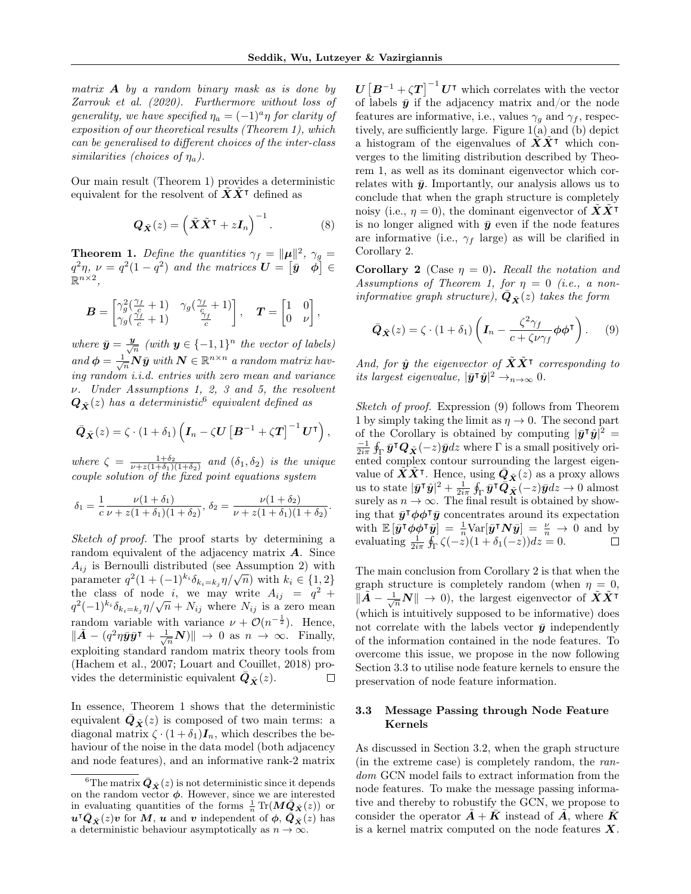.

matrix  $A$  by a random binary mask as is done by [Zarrouk et al.](#page-10-7) [\(2020\)](#page-10-7). Furthermore without loss of generality, we have specified  $\eta_a = (-1)^a \eta$  for clarity of exposition of our theoretical results (Theorem [1\)](#page-4-1), which can be generalised to different choices of the inter-class similarities (choices of  $\eta_a$ ).

Our main result (Theorem [1\)](#page-4-1) provides a deterministic equivalent for the resolvent of  $\tilde{X}\tilde{X}^{\dagger}$  defined as

$$
\mathbf{Q}_{\tilde{\mathbf{X}}}(z) = \left(\tilde{\mathbf{X}}\tilde{\mathbf{X}}^{\mathsf{T}} + z\mathbf{I}_n\right)^{-1}.
$$
 (8)

<span id="page-4-1"></span>**Theorem 1.** Define the quantities  $\gamma_f = ||\mu||^2$ ,  $\gamma_g =$  $q^2\eta$ ,  $\nu = q^2(1-q^2)$  and the matrices  $\boldsymbol{U} = [\bar{\boldsymbol{y}} \quad \boldsymbol{\phi}] \in$  $\mathbb{R}^{n\times 2}$ ,

$$
\boldsymbol{B} = \begin{bmatrix} \gamma_g^2(\frac{\gamma_f}{c} + 1) & \gamma_g(\frac{\gamma_f}{c} + 1) \\ \gamma_g(\frac{\gamma_f}{c} + 1) & \frac{\gamma_f}{c} \end{bmatrix}, \quad \boldsymbol{T} = \begin{bmatrix} 1 & 0 \\ 0 & \nu \end{bmatrix},
$$

where  $\bar{y} = \frac{y}{\sqrt{y}}$  $\frac{1}{n}$  (with  $y \in \{-1,1\}^n$  the vector of labels) and  $\phi = \frac{1}{\sqrt{n}} N \bar{y}$  with  $N \in \mathbb{R}^{n \times n}$  a random matrix having random i.i.d. entries with zero mean and variance ν. Under Assumptions [1,](#page-2-4) [2,](#page-2-7) [3](#page-3-0) and [5,](#page-3-5) the resolvent  $\boldsymbol{Q}_{\tilde{\boldsymbol{X}}}(z)$  has a deterministic  $^6$  $^6$  equivalent defined as

$$
\bar{\boldsymbol{Q}}_{\tilde{\boldsymbol{X}}}(z) = \zeta \cdot (1 + \delta_1) \left( \boldsymbol{I}_n - \zeta \boldsymbol{U} \left[ \boldsymbol{B}^{-1} + \zeta \boldsymbol{T} \right]^{-1} \boldsymbol{U}^{\mathsf{T}} \right),
$$

where  $\zeta = \frac{1+\delta_2}{\nu+z(1+\delta_1)(1+\delta_2)}$  and  $(\delta_1, \delta_2)$  is the unique couple solution of the fixed point equations system

$$
\delta_1 = \frac{1}{c} \frac{\nu(1+\delta_1)}{\nu + z(1+\delta_1)(1+\delta_2)}, \ \delta_2 = \frac{\nu(1+\delta_2)}{\nu + z(1+\delta_1)(1+\delta_2)}
$$

Sketch of proof. The proof starts by determining a random equivalent of the adjacency matrix  $\boldsymbol{A}$ . Since  $A_{ij}$  is Bernoulli distributed (see Assumption [2\)](#page-2-7) with  $A_{ij}$  is bernoum distributed (see Assumption 2) with<br>parameter  $q^2(1+(-1)^{k_i}\delta_{k_i=k_j}\eta/\sqrt{n})$  with  $k_i \in \{1,2\}$ the class of node i, we may write  $A_{ij} = q^2 + q^2$ the class of hode *i*, we hay write  $A_{ij} = q + q^2(-1)^{k_i} \delta_{k_i=k_j} \eta / \sqrt{n} + N_{ij}$  where  $N_{ij}$  is a zero mean random variable with variance  $\nu + \mathcal{O}(n^{-\frac{1}{2}})$ . Hence,  $\|\tilde{A} - (q^2 \eta \bar{y} \bar{y}^{\intercal} + \frac{1}{\sqrt{n}} N)\| \to 0 \text{ as } n \to \infty.$  Finally, exploiting standard random matrix theory tools from [\(Hachem et al., 2007;](#page-9-18) [Louart and Couillet, 2018\)](#page-9-12) provides the deterministic equivalent  $\bar{Q}_{\tilde{X}}(z)$ .  $\Box$ 

In essence, Theorem [1](#page-4-1) shows that the deterministic equivalent  $\overline{\mathbf{Q}}_{\tilde{\mathbf{X}}}(z)$  is composed of two main terms: a diagonal matrix  $\zeta \cdot (1 + \delta_1)I_n$ , which describes the behaviour of the noise in the data model (both adjacency and node features), and an informative rank-2 matrix

 $\boldsymbol{U}\left[\boldsymbol{B}^{-1}+\zeta\boldsymbol{T}\right]^{-1}\boldsymbol{U}^{\intercal}$  which correlates with the vector of labels  $\bar{y}$  if the adjacency matrix and/or the node features are informative, i.e., values  $\gamma_g$  and  $\gamma_f$ , respectively, are sufficiently large. Figure [1\(](#page-5-1)a) and (b) depict a histogram of the eigenvalues of  $\boldsymbol{X} \boldsymbol{X}^{\intercal}$  which converges to the limiting distribution described by Theorem [1,](#page-4-1) as well as its dominant eigenvector which correlates with  $\bar{y}$ . Importantly, our analysis allows us to conclude that when the graph structure is completely noisy (i.e.,  $\eta = 0$ ), the dominant eigenvector of  $\boldsymbol{X} \boldsymbol{X}^{\intercal}$ is no longer aligned with  $\bar{y}$  even if the node features are informative (i.e.,  $\gamma_f$  large) as will be clarified in Corollary [2.](#page-4-3)

<span id="page-4-3"></span>**Corollary 2** (Case  $\eta = 0$ ). Recall the notation and Assumptions of Theorem [1,](#page-4-1) for  $\eta = 0$  (i.e., a noninformative graph structure),  $\bar{\boldsymbol{Q}}_{\tilde{\boldsymbol{X}}}(z)$  takes the form

<span id="page-4-4"></span>
$$
\bar{\boldsymbol{Q}}_{\tilde{\boldsymbol{X}}}(z) = \zeta \cdot (1 + \delta_1) \left( \boldsymbol{I}_n - \frac{\zeta^2 \gamma_f}{c + \zeta \nu \gamma_f} \boldsymbol{\phi} \boldsymbol{\phi}^\mathsf{T} \right). \tag{9}
$$

And, for  $\hat{\bm{y}}$  the eigenvector of  $\tilde{\bm{X}}\tilde{\bm{X}}^\intercal$  corresponding to its largest eigenvalue,  $|\bar{y}^{\dagger} \hat{y}|^2 \rightarrow_{n \rightarrow \infty} 0$ .

Sketch of proof. Expression [\(9\)](#page-4-4) follows from Theorem [1](#page-4-1) by simply taking the limit as  $\eta \to 0$ . The second part of the Corollary is obtained by computing  $|\bar{y}^{\dagger} \hat{y}|^2 =$  $\frac{-1}{2i\pi}\oint_{\Gamma}\bar{y}^{\intercal}\boldsymbol{Q}_{\tilde{\boldsymbol{X}}}(-z)\bar{y}dz$  where  $\Gamma$  is a small positively oriented complex contour surrounding the largest eigenvalue of  $\tilde{X}\tilde{X}^{\intercal}$ . Hence, using  $\bar{Q}_{\tilde{X}}(z)$  as a proxy allows us to state  $|\bar{y}^\intercal \hat{y}|^2 + \frac{1}{2i\pi} \oint_{\Gamma} \bar{y}^\intercal \dot{\bar{Q}}_{{\tilde{X}}}^{{\tilde{\mathbf{\Lambda}}}}(-z) \bar{y} dz \to 0$  almost surely as  $n \to \infty$ . The final result is obtained by showing that  $\bar{y}^{\dagger} \phi \phi^{\dagger} \bar{y}$  concentrates around its expectation with  $\mathbb{E}[\bar{y}^{\dagger} \phi \phi^{\dagger} \bar{y}] = \frac{1}{n} \text{Var}[\bar{y}^{\dagger} N \bar{y}] = \frac{\nu}{n} \to 0$  and by evaluating  $\frac{1}{2i\pi} \oint_{\Gamma} \zeta(-z)(1+\delta_1(-z))dz = 0.$ 

The main conclusion from Corollary [2](#page-4-3) is that when the graph structure is completely random (when  $\eta = 0$ ,  $\|\tilde{A} - \frac{1}{\sqrt{n}}N\| \to 0$ , the largest eigenvector of  $\tilde{X}\tilde{X}^{\dagger}$ (which is intuitively supposed to be informative) does not correlate with the labels vector  $\bar{y}$  independently of the information contained in the node features. To overcome this issue, we propose in the now following Section [3.3](#page-4-0) to utilise node feature kernels to ensure the preservation of node feature information.

### <span id="page-4-0"></span>3.3 Message Passing through Node Feature Kernels

As discussed in Section [3.2,](#page-3-2) when the graph structure (in the extreme case) is completely random, the random GCN model fails to extract information from the node features. To make the message passing informative and thereby to robustify the GCN, we propose to consider the operator  $\mathbf{A} + \mathbf{K}$  instead of  $\mathbf{A}$ , where  $\mathbf{K}$ is a kernel matrix computed on the node features  $X$ .

<span id="page-4-2"></span><sup>&</sup>lt;sup>6</sup>The matrix  $\bar{Q}_{\tilde{X}}(z)$  is not deterministic since it depends on the random vector  $\phi$ . However, since we are interested in evaluating quantities of the forms  $\frac{1}{n} \text{Tr}(\mathbf{M}\bar{\mathbf{Q}}_{\tilde{\mathbf{X}}}(z))$  or  $u^{\intercal}\bar{Q}_{\tilde{X}}(z)v$  for  $M, u$  and v independent of  $\phi, \bar{Q}_{\tilde{X}}(z)$  has a deterministic behaviour asymptotically as  $n \to \infty$ .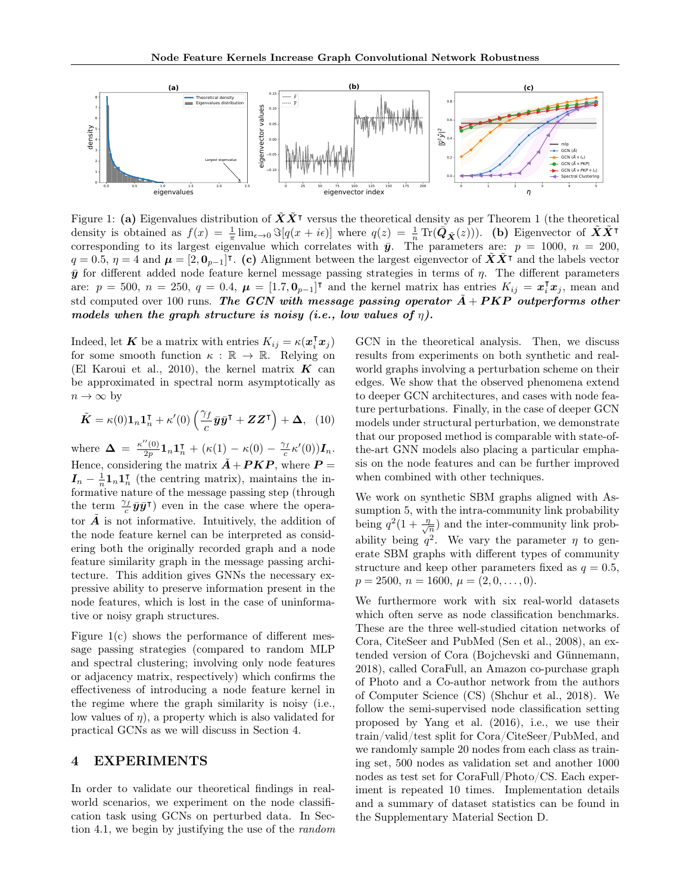

<span id="page-5-1"></span>Figure [1](#page-4-1): (a) Eigenvalues distribution of  $\tilde{X}\tilde{X}^T$  versus the theoretical density as per Theorem 1 (the theoretical density is obtained as  $f(x) = \frac{1}{\pi} \lim_{\epsilon \to 0} \Im[q(x + i\epsilon)]$  where  $q(z) = \frac{1}{n} \text{Tr}(\vec{Q}_{\tilde{X}}(z))$ . (b) Eigenvector of  $\tilde{X}\tilde{X}^{\intercal}$ corresponding to its largest eigenvalue which correlates with  $\bar{y}$ . The parameters are:  $p = 1000$ ,  $n = 200$ ,  $q=0.5, \eta=4$  and  $\mu=[2,0_{p-1}]^{\dagger}$ . (c) Alignment between the largest eigenvector of  $\tilde{X}\tilde{X}^{\dagger}$  and the labels vector  $\bar{y}$  for different added node feature kernel message passing strategies in terms of  $\eta$ . The different parameters are:  $p = 500$ ,  $n = 250$ ,  $q = 0.4$ ,  $\mu = [1.7, 0<sub>p-1</sub>]^\mathsf{T}$  and the kernel matrix has entries  $K_{ij} = x_i^\mathsf{T} x_j$ , mean and std computed over 100 runs. The GCN with message passing operator  $\ddot{A} + PKP$  outperforms other models when the graph structure is noisy (i.e., low values of  $\eta$ ).

Indeed, let **K** be a matrix with entries  $K_{ij} = \kappa(\mathbf{x}_i^{\mathsf{T}} \mathbf{x}_j)$ for some smooth function  $\kappa : \mathbb{R} \to \mathbb{R}$ . Relying on [\(El Karoui et al., 2010\)](#page-8-3), the kernel matrix  $\boldsymbol{K}$  can be approximated in spectral norm asymptotically as  $n \to \infty$  by

$$
\tilde{K} = \kappa(0) \mathbf{1}_n \mathbf{1}_n^{\mathsf{T}} + \kappa'(0) \left( \frac{\gamma_f}{c} \bar{y} \bar{y}^{\mathsf{T}} + Z Z^{\mathsf{T}} \right) + \Delta, \quad (10)
$$

where  $\Delta = \frac{\kappa''(0)}{2n}$  $\frac{\gamma'(0)}{2p}\mathbf{1}_n\mathbf{1}_n^\intercal + (\kappa(1)-\kappa(0)-\frac{\gamma_f}{c}\kappa'(0))\boldsymbol{I}_n.$ Hence, considering the matrix  $\tilde{A} + PKP$ , where  $P =$  $I_n - \frac{1}{n} \mathbf{1}_n \mathbf{1}_n^{\intercal}$  (the centring matrix), maintains the informative nature of the message passing step (through the term  $\frac{\gamma_f}{c}\bar{\bm{y}}\bar{\bm{y}}^\intercal$  even in the case where the operator  $A$  is not informative. Intuitively, the addition of the node feature kernel can be interpreted as considering both the originally recorded graph and a node feature similarity graph in the message passing architecture. This addition gives GNNs the necessary expressive ability to preserve information present in the node features, which is lost in the case of uninformative or noisy graph structures.

Figure [1\(](#page-5-1)c) shows the performance of different message passing strategies (compared to random MLP and spectral clustering; involving only node features or adjacency matrix, respectively) which confirms the effectiveness of introducing a node feature kernel in the regime where the graph similarity is noisy (i.e., low values of  $\eta$ ), a property which is also validated for practical GCNs as we will discuss in Section [4.](#page-5-0)

### <span id="page-5-0"></span>4 EXPERIMENTS

In order to validate our theoretical findings in realworld scenarios, we experiment on the node classification task using GCNs on perturbed data. In Section [4.1,](#page-6-0) we begin by justifying the use of the random GCN in the theoretical analysis. Then, we discuss results from experiments on both synthetic and realworld graphs involving a perturbation scheme on their edges. We show that the observed phenomena extend to deeper GCN architectures, and cases with node feature perturbations. Finally, in the case of deeper GCN models under structural perturbation, we demonstrate that our proposed method is comparable with state-ofthe-art GNN models also placing a particular emphasis on the node features and can be further improved when combined with other techniques.

We work on synthetic SBM graphs aligned with Assumption [5,](#page-3-5) with the intra-community link probability being  $q^2(1+\frac{\eta}{\sqrt{2}})$  $\frac{\partial}{\partial n}$  and the inter-community link probability being  $q^2$ . We vary the parameter  $\eta$  to generate SBM graphs with different types of community structure and keep other parameters fixed as  $q = 0.5$ ,  $p = 2500, n = 1600, \mu = (2, 0, \ldots, 0).$ 

We furthermore work with six real-world datasets which often serve as node classification benchmarks. These are the three well-studied citation networks of Cora, CiteSeer and PubMed [\(Sen et al., 2008\)](#page-9-20), an extended version of Cora [\(Bojchevski and Günnemann,](#page-8-4) [2018\)](#page-8-4), called CoraFull, an Amazon co-purchase graph of Photo and a Co-author network from the authors of Computer Science (CS) [\(Shchur et al., 2018\)](#page-9-21). We follow the semi-supervised node classification setting proposed by [Yang et al.](#page-10-8) [\(2016\)](#page-10-8), i.e., we use their train/valid/test split for Cora/CiteSeer/PubMed, and we randomly sample 20 nodes from each class as training set, 500 nodes as validation set and another 1000 nodes as test set for CoraFull/Photo/CS. Each experiment is repeated 10 times. Implementation details and a summary of dataset statistics can be found in the Supplementary Material Section [D.](#page-13-0)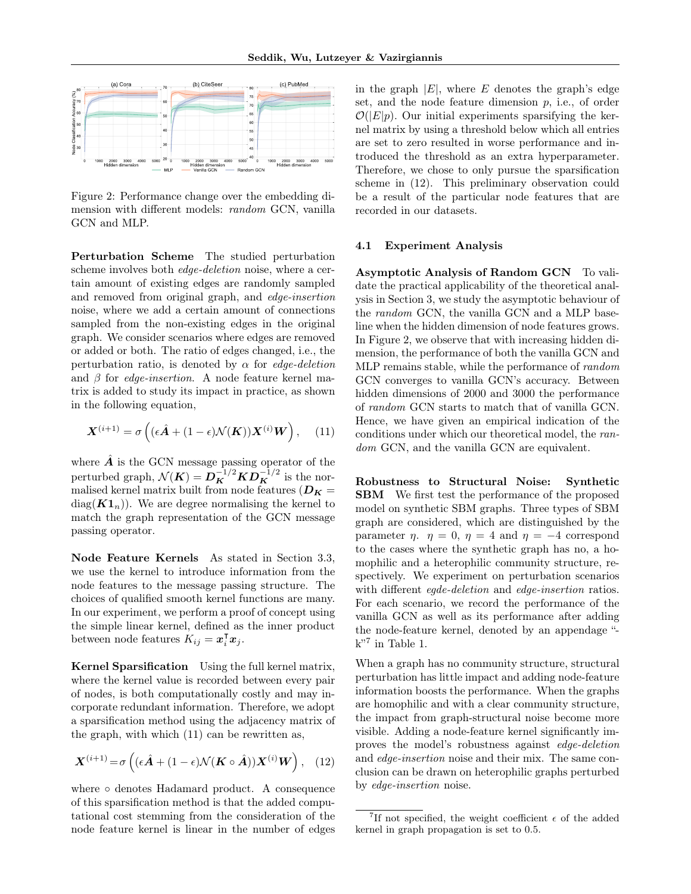

<span id="page-6-3"></span>Figure 2: Performance change over the embedding dimension with different models: random GCN, vanilla GCN and MLP.

Perturbation Scheme The studied perturbation scheme involves both edge-deletion noise, where a certain amount of existing edges are randomly sampled and removed from original graph, and edge-insertion noise, where we add a certain amount of connections sampled from the non-existing edges in the original graph. We consider scenarios where edges are removed or added or both. The ratio of edges changed, i.e., the perturbation ratio, is denoted by  $\alpha$  for *edge-deletion* and  $\beta$  for *edge-insertion*. A node feature kernel matrix is added to study its impact in practice, as shown in the following equation,

<span id="page-6-1"></span>
$$
\mathbf{X}^{(i+1)} = \sigma\left((\epsilon \hat{\mathbf{A}} + (1 - \epsilon)\mathcal{N}(\mathbf{K}))\mathbf{X}^{(i)}\mathbf{W}\right), \quad (11)
$$

where  $\vec{A}$  is the GCN message passing operator of the perturbed graph,  $\mathcal{N}(\boldsymbol{K}) = \boldsymbol{D}_{\boldsymbol{K}}^{-1/2} \boldsymbol{K} \boldsymbol{D}_{\boldsymbol{K}}^{-1/2}$  is the normalised kernel matrix built from node features ( $D_K =$  $diag(K1_n)$ . We are degree normalising the kernel to match the graph representation of the GCN message passing operator.

Node Feature Kernels As stated in Section [3.3,](#page-4-0) we use the kernel to introduce information from the node features to the message passing structure. The choices of qualified smooth kernel functions are many. In our experiment, we perform a proof of concept using the simple linear kernel, defined as the inner product between node features  $K_{ij} = \boldsymbol{x}_i^{\mathsf{T}} \boldsymbol{x}_j$ .

Kernel Sparsification Using the full kernel matrix, where the kernel value is recorded between every pair of nodes, is both computationally costly and may incorporate redundant information. Therefore, we adopt a sparsification method using the adjacency matrix of the graph, with which [\(11\)](#page-6-1) can be rewritten as,

<span id="page-6-2"></span>
$$
\mathbf{X}^{(i+1)} = \sigma\left((\epsilon \hat{\mathbf{A}} + (1 - \epsilon)\mathcal{N}(\mathbf{K} \circ \hat{\mathbf{A}}))\mathbf{X}^{(i)}\mathbf{W}\right), (12)
$$

where ∘ denotes Hadamard product. A consequence of this sparsification method is that the added computational cost stemming from the consideration of the node feature kernel is linear in the number of edges in the graph  $|E|$ , where E denotes the graph's edge set, and the node feature dimension  $p$ , i.e., of order  $\mathcal{O}(|E|p)$ . Our initial experiments sparsifying the kernel matrix by using a threshold below which all entries are set to zero resulted in worse performance and introduced the threshold as an extra hyperparameter. Therefore, we chose to only pursue the sparsification scheme in [\(12\)](#page-6-2). This preliminary observation could be a result of the particular node features that are recorded in our datasets.

#### <span id="page-6-0"></span>4.1 Experiment Analysis

Asymptotic Analysis of Random GCN To validate the practical applicability of the theoretical analysis in Section [3,](#page-2-0) we study the asymptotic behaviour of the random GCN, the vanilla GCN and a MLP baseline when the hidden dimension of node features grows. In Figure [2,](#page-6-3) we observe that with increasing hidden dimension, the performance of both the vanilla GCN and MLP remains stable, while the performance of random GCN converges to vanilla GCN's accuracy. Between hidden dimensions of 2000 and 3000 the performance of random GCN starts to match that of vanilla GCN. Hence, we have given an empirical indication of the conditions under which our theoretical model, the random GCN, and the vanilla GCN are equivalent.

Robustness to Structural Noise: Synthetic SBM We first test the performance of the proposed model on synthetic SBM graphs. Three types of SBM graph are considered, which are distinguished by the parameter  $\eta$ ,  $\eta = 0$ ,  $\eta = 4$  and  $\eta = -4$  correspond to the cases where the synthetic graph has no, a homophilic and a heterophilic community structure, respectively. We experiment on perturbation scenarios with different *eqde-deletion* and *edge-insertion* ratios. For each scenario, we record the performance of the vanilla GCN as well as its performance after adding the node-feature kernel, denoted by an appendage "  $k$ <sup>"[7](#page-6-4)</sup> in Table [1.](#page-7-0)

When a graph has no community structure, structural perturbation has little impact and adding node-feature information boosts the performance. When the graphs are homophilic and with a clear community structure, the impact from graph-structural noise become more visible. Adding a node-feature kernel significantly improves the model's robustness against edge-deletion and edge-insertion noise and their mix. The same conclusion can be drawn on heterophilic graphs perturbed by edge-insertion noise.

<span id="page-6-4"></span><sup>&</sup>lt;sup>7</sup>If not specified, the weight coefficient  $\epsilon$  of the added kernel in graph propagation is set to 0.5.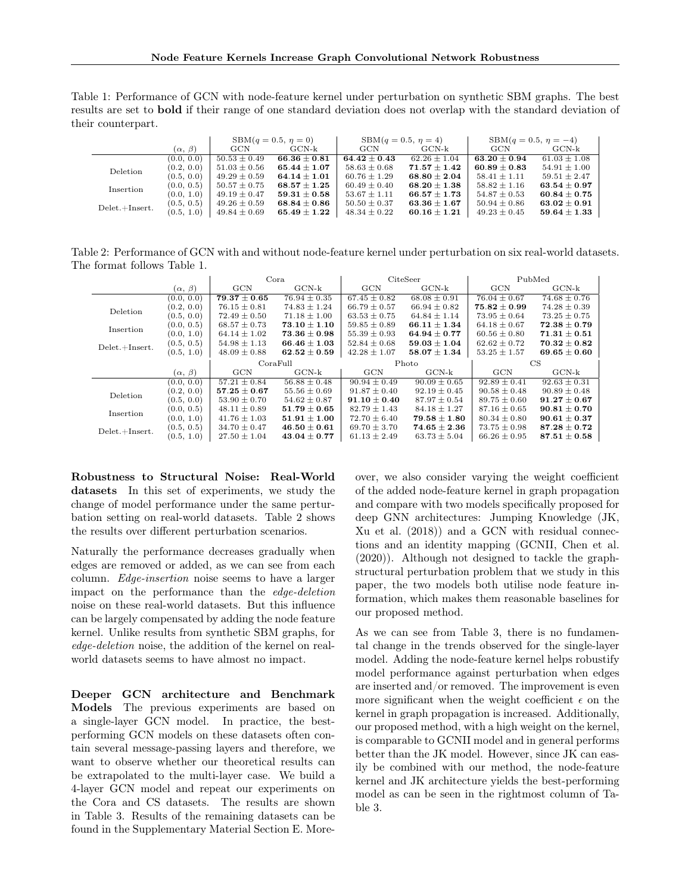<span id="page-7-0"></span>Table 1: Performance of GCN with node-feature kernel under perturbation on synthetic SBM graphs. The best results are set to bold if their range of one standard deviation does not overlap with the standard deviation of their counterpart.

|                  |                   |                  | $SBM(q = 0.5, \eta = 0)$ | $SBM(q = 0.5, \eta = 4)$ |                  | $SBM(q = 0.5, \eta = -4)$ |                  |
|------------------|-------------------|------------------|--------------------------|--------------------------|------------------|---------------------------|------------------|
|                  | $(\alpha, \beta)$ | GCN              | GCN-k                    | <b>GCN</b>               | GCN-k            | <b>GCN</b>                | GCN-k            |
|                  | (0.0, 0.0)        | $50.53 \pm 0.49$ | $66.36 \pm 0.81$         | $64.42 \pm 0.43$         | $62.26 \pm 1.04$ | $63.20 \pm 0.94$          | $61.03 + 1.08$   |
| Deletion         | (0.2, 0.0)        | $51.03 \pm 0.56$ | $65.44 \pm 1.07$         | $58.63 \pm 0.68$         | $71.57 \pm 1.42$ | $60.89 \pm 0.83$          | $54.91 \pm 1.00$ |
|                  | (0.5, 0.0)        | $49.29 \pm 0.59$ | $64.14 \pm 1.01$         | $60.76 \pm 1.29$         | $68.80 \pm 2.04$ | $58.41 \pm 1.11$          | $59.51 \pm 2.47$ |
| Insertion        | (0.0, 0.5)        | $50.57 \pm 0.75$ | $68.57 \pm 1.25$         | $60.49 \pm 0.40$         | $68.20 \pm 1.38$ | $58.82 \pm 1.16$          | $63.54 \pm 0.97$ |
|                  | (0.0, 1.0)        | $49.19 \pm 0.47$ | $59.31 \pm 0.58$         | $53.67 \pm 1.11$         | $66.57 \pm 1.73$ | $54.87 \pm 0.53$          | $60.84 \pm 0.75$ |
| $Delet.+Insert.$ | (0.5, 0.5)        | $49.26 \pm 0.59$ | $68.84 \pm 0.86$         | $50.50 \pm 0.37$         | $63.36 \pm 1.67$ | $50.94 \pm 0.86$          | $63.02 \pm 0.91$ |
|                  | (0.5, 1.0)        | $49.84 \pm 0.69$ | $65.49 \pm 1.22$         | $48.34 \pm 0.22$         | $60.16 \pm 1.21$ | $49.23 \pm 0.45$          | $59.64 \pm 1.33$ |

Table 2: Performance of GCN with and without node-feature kernel under perturbation on six real-world datasets. The format follows Table [1.](#page-7-0)

<span id="page-7-1"></span>

|                  |                   | Cora             |                  | CiteSeer         |                                    | PubMed           |                  |
|------------------|-------------------|------------------|------------------|------------------|------------------------------------|------------------|------------------|
|                  | $(\alpha, \beta)$ | GCN              | $GCN-k$          | GCN              | $GCN-k$                            | GCN              | $GCN-k$          |
|                  | (0.0, 0.0)        | $79.37 \pm 0.65$ | $76.94 \pm 0.35$ | $67.45 \pm 0.82$ | $68.08 \pm 0.91$                   | $76.04 \pm 0.67$ | $74.68 \pm 0.76$ |
| Deletion         | (0.2, 0.0)        | $76.15 \pm 0.81$ | $74.83 \pm 1.24$ | $66.79 \pm 0.57$ | $66.94 \pm 0.82$                   | $75.82 \pm 0.99$ | $74.28 \pm 0.39$ |
|                  | (0.5, 0.0)        | $72.49 \pm 0.50$ | $71.18 \pm 1.00$ | $63.53 \pm 0.75$ | $64.84 \pm 1.14$                   | $73.95 \pm 0.64$ | $73.25 \pm 0.75$ |
| Insertion        | (0.0, 0.5)        | $68.57 \pm 0.73$ | $73.10 \pm 1.10$ | $59.85 \pm 0.89$ | $66.11 \pm 1.34$                   | $64.18 \pm 0.67$ | $72.38 \pm 0.79$ |
|                  | (0.0, 1.0)        | $64.14 \pm 1.02$ | $73.36 \pm 0.98$ | $55.39 \pm 0.93$ | $64.94 \pm 0.77$                   | $60.56 \pm 0.80$ | $71.31 \pm 0.51$ |
| $Delet.+Insert.$ | (0.5, 0.5)        | $54.98 \pm 1.13$ | $66.46 \pm 1.03$ | $52.84 \pm 0.68$ | $59.03 \pm 1.04$                   | $62.62 \pm 0.72$ | $70.32 \pm 0.82$ |
|                  | (0.5, 1.0)        | $48.09 \pm 0.88$ | $62.52 \pm 0.59$ | $42.28 \pm 1.07$ | $58.07 \pm 1.34$                   | $53.25 \pm 1.57$ | $69.65 \pm 0.60$ |
|                  |                   |                  |                  |                  |                                    |                  |                  |
|                  |                   |                  | CoraFull         |                  | Photo                              |                  | $_{\rm CS}$      |
|                  | $(\alpha, \beta)$ | GCN              | $GCN-k$          | GCN              | $GCN-k$                            | GCN              | $GCN-k$          |
|                  | (0.0, 0.0)        | $57.21 \pm 0.84$ | $56.88 \pm 0.48$ | $90.94 \pm 0.49$ | $90.09 \pm 0.65$                   | $92.89 \pm 0.41$ | $92.63 \pm 0.31$ |
|                  | (0.2, 0.0)        | $57.25 \pm 0.67$ | $55.56 \pm 0.69$ | $91.87 \pm 0.40$ | $92.19 \pm 0.45$                   | $90.58 \pm 0.48$ | $90.89 \pm 0.48$ |
| Deletion         | (0.5, 0.0)        | $53.90 \pm 0.70$ | $54.62 \pm 0.87$ | $91.10 \pm 0.40$ | $87.97 \pm 0.54$                   | $89.75 \pm 0.60$ | $91.27 \pm 0.67$ |
|                  | (0.0, 0.5)        | $48.11 \pm 0.89$ | $51.79 \pm 0.65$ | $82.79 \pm 1.43$ | $84.18 \pm 1.27$                   | $87.16 \pm 0.65$ | $90.81 \pm 0.70$ |
| Insertion        | (0.0, 1.0)        | $41.76 \pm 1.03$ | $51.91 \pm 1.00$ | $72.70 \pm 6.40$ | $79.58 \pm 1.80$                   | $80.34 \pm 0.80$ | $90.61 \pm 0.37$ |
| $Delet.+Insert.$ | (0.5, 0.5)        | $34.70 \pm 0.47$ | $46.50 \pm 0.61$ | $69.70 \pm 3.70$ | $\textbf{74.65} \pm \textbf{2.36}$ | $73.75 \pm 0.98$ | $87.28 \pm 0.72$ |

Robustness to Structural Noise: Real-World datasets In this set of experiments, we study the change of model performance under the same perturbation setting on real-world datasets. Table [2](#page-7-1) shows the results over different perturbation scenarios.

Naturally the performance decreases gradually when edges are removed or added, as we can see from each column. Edge-insertion noise seems to have a larger impact on the performance than the edge-deletion noise on these real-world datasets. But this influence can be largely compensated by adding the node feature kernel. Unlike results from synthetic SBM graphs, for edge-deletion noise, the addition of the kernel on realworld datasets seems to have almost no impact.

Deeper GCN architecture and Benchmark Models The previous experiments are based on a single-layer GCN model. In practice, the bestperforming GCN models on these datasets often contain several message-passing layers and therefore, we want to observe whether our theoretical results can be extrapolated to the multi-layer case. We build a 4-layer GCN model and repeat our experiments on the Cora and CS datasets. The results are shown in Table [3.](#page-8-5) Results of the remaining datasets can be found in the Supplementary Material Section [E.](#page-14-0) Moreover, we also consider varying the weight coefficient of the added node-feature kernel in graph propagation and compare with two models specifically proposed for deep GNN architectures: Jumping Knowledge (JK, [Xu et al.](#page-10-9) [\(2018\)](#page-10-9)) and a GCN with residual connections and an identity mapping (GCNII, [Chen et al.](#page-8-6) [\(2020\)](#page-8-6)). Although not designed to tackle the graphstructural perturbation problem that we study in this paper, the two models both utilise node feature information, which makes them reasonable baselines for our proposed method.

As we can see from Table [3,](#page-8-5) there is no fundamental change in the trends observed for the single-layer model. Adding the node-feature kernel helps robustify model performance against perturbation when edges are inserted and/or removed. The improvement is even more significant when the weight coefficient  $\epsilon$  on the kernel in graph propagation is increased. Additionally, our proposed method, with a high weight on the kernel, is comparable to GCNII model and in general performs better than the JK model. However, since JK can easily be combined with our method, the node-feature kernel and JK architecture yields the best-performing model as can be seen in the rightmost column of Table [3.](#page-8-5)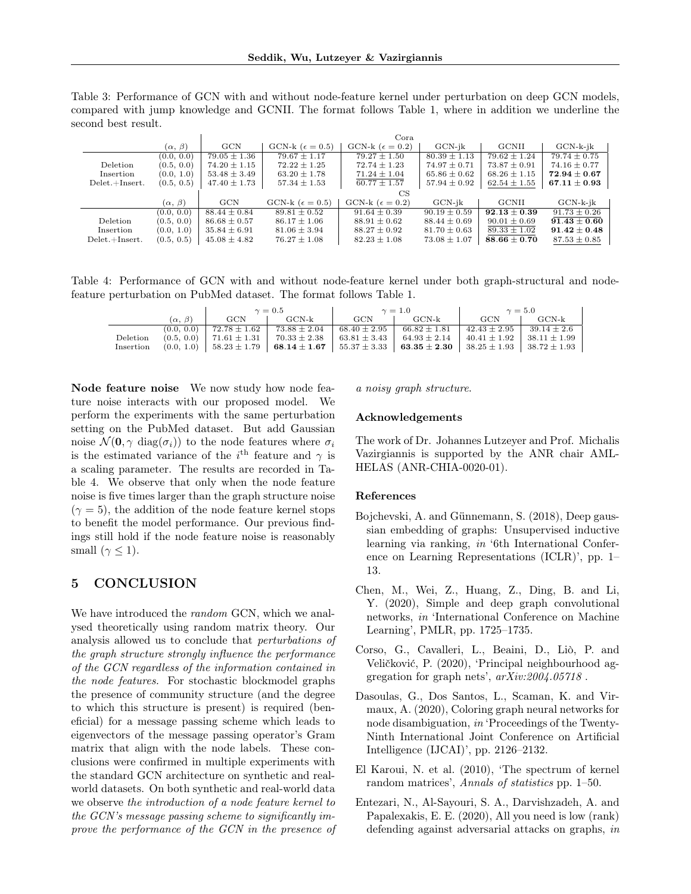<span id="page-8-5"></span>Table 3: Performance of GCN with and without node-feature kernel under perturbation on deep GCN models, compared with jump knowledge and GCNII. The format follows Table [1,](#page-7-0) where in addition we underline the second best result.

|                  |                   |                  |                            | Cora                       |                  |                  |                             |
|------------------|-------------------|------------------|----------------------------|----------------------------|------------------|------------------|-----------------------------|
|                  | $(\alpha, \beta)$ | GCN              | GCN-k ( $\epsilon = 0.5$ ) | GCN-k ( $\epsilon = 0.2$ ) | $GCN-ik$         | <b>GCNII</b>     | $GCN-k-ik$                  |
|                  | (0.0, 0.0)        | $79.05 \pm 1.36$ | $79.67 \pm 1.17$           | $79.27 \pm 1.50$           | $80.39 \pm 1.13$ | $79.62 \pm 1.24$ | $79.74 \pm 0.75$            |
| Deletion         | (0.5, 0.0)        | $74.20 \pm 1.15$ | $72.22 \pm 1.25$           | $72.74 \pm 1.23$           | $74.97 \pm 0.71$ | $73.87 \pm 0.91$ | $74.16 \pm 0.77$            |
| Insertion        | (0.0, 1.0)        | $53.48 \pm 3.49$ | $63.20 \pm 1.78$           | $71.24 \pm 1.04$           | $65.86 \pm 0.62$ | $68.26 \pm 1.15$ | $72.94 \pm 0.67$            |
| $Delet.+Insert.$ | (0.5, 0.5)        | $47.40 \pm 1.73$ | $57.34 \pm 1.53$           | $60.77 \pm 1.57$           | $57.94 \pm 0.92$ | $62.54 \pm 1.55$ | $\boldsymbol{67.11\pm0.93}$ |
|                  |                   |                  |                            | CS                         |                  |                  |                             |
|                  | $(\alpha, \beta)$ | GCN              | GCN-k ( $\epsilon = 0.5$ ) | GCN-k ( $\epsilon = 0.2$ ) | $GCN-ik$         | <b>GCNII</b>     | $GCN-k-ik$                  |
|                  | (0.0, 0.0)        | $88.44 \pm 0.84$ | $89.81 \pm 0.52$           | $91.64 \pm 0.39$           | $90.19 \pm 0.59$ | $92.13 \pm 0.39$ | $91.73 \pm 0.26$            |
| Deletion         | (0.5, 0.0)        | $86.68 \pm 0.57$ | $86.17 \pm 1.06$           | $88.91 \pm 0.62$           | $88.44 \pm 0.69$ | $90.01 \pm 0.69$ | $91.43 \pm 0.60$            |
| Insertion        | (0.0, 1.0)        | $35.84 \pm 6.91$ | $81.06 \pm 3.94$           | $88.27 \pm 0.92$           | $81.70 \pm 0.63$ | $89.33 \pm 1.02$ | $91.42 \pm 0.48$            |
| $Delet.+Insert.$ | (0.5, 0.5)        | $45.08 \pm 4.82$ | $76.27 \pm 1.08$           | $82.23 \pm 1.08$           | $73.08 \pm 1.07$ | $88.66 \pm 0.70$ | $87.53 \pm 0.85$            |

Table 4: Performance of GCN with and without node-feature kernel under both graph-structural and nodefeature perturbation on PubMed dataset. The format follows Table [1.](#page-7-0)

<span id="page-8-7"></span>

|           |                   |                                 | $\gamma=0.5$                                                                                                                   |                  | $\gamma=1.0$     | $\gamma = 5.0$   |                 |
|-----------|-------------------|---------------------------------|--------------------------------------------------------------------------------------------------------------------------------|------------------|------------------|------------------|-----------------|
|           | $(\alpha, \beta)$ | $_{\rm GCN}$                    | GCN-k                                                                                                                          | GCN              | GCN-k            | GCN              | GCN-k           |
|           |                   | $(0.0, 0.0)$   $72.78 \pm 1.62$ | $73.88 \pm 2.04$                                                                                                               | $68.40 \pm 2.95$ | $66.82 \pm 1.81$ | $42.43 \pm 2.95$ | $39.14 \pm 2.6$ |
| Deletion  |                   |                                 | $(0.5, 0.0)$   $71.61 \pm 1.31$   $70.33 \pm 2.38$   $63.81 \pm 3.43$   $64.93 \pm 2.14$   $40.41 \pm 1.92$   $38.11 \pm 1.99$ |                  |                  |                  |                 |
| Insertion |                   |                                 | $(0.0, 1.0)$   58.23 $\pm$ 1.79   68.14 $\pm$ 1.67   55.37 $\pm$ 3.33   63.35 $\pm$ 2.30   38.25 $\pm$ 1.93   38.72 $\pm$ 1.93 |                  |                  |                  |                 |

Node feature noise We now study how node feature noise interacts with our proposed model. We perform the experiments with the same perturbation setting on the PubMed dataset. But add Gaussian noise  $\mathcal{N}(\mathbf{0}, \gamma \text{ diag}(\sigma_i))$  to the node features where  $\sigma_i$ is the estimated variance of the i<sup>th</sup> feature and  $\gamma$  is a scaling parameter. The results are recorded in Table [4.](#page-8-7) We observe that only when the node feature noise is five times larger than the graph structure noise  $(\gamma = 5)$ , the addition of the node feature kernel stops to benefit the model performance. Our previous findings still hold if the node feature noise is reasonably small  $(\gamma \leq 1)$ .

### 5 CONCLUSION

We have introduced the *random* GCN, which we analysed theoretically using random matrix theory. Our analysis allowed us to conclude that perturbations of the graph structure strongly influence the performance of the GCN regardless of the information contained in the node features. For stochastic blockmodel graphs the presence of community structure (and the degree to which this structure is present) is required (beneficial) for a message passing scheme which leads to eigenvectors of the message passing operator's Gram matrix that align with the node labels. These conclusions were confirmed in multiple experiments with the standard GCN architecture on synthetic and realworld datasets. On both synthetic and real-world data we observe the introduction of a node feature kernel to the GCN's message passing scheme to significantly improve the performance of the GCN in the presence of a noisy graph structure.

#### Acknowledgements

The work of Dr. Johannes Lutzeyer and Prof. Michalis Vazirgiannis is supported by the ANR chair AML-HELAS (ANR-CHIA-0020-01).

#### References

- <span id="page-8-4"></span>Bojchevski, A. and Günnemann, S. (2018), Deep gaussian embedding of graphs: Unsupervised inductive learning via ranking, in '6th International Conference on Learning Representations (ICLR)', pp. 1– 13.
- <span id="page-8-6"></span>Chen, M., Wei, Z., Huang, Z., Ding, B. and Li, Y. (2020), Simple and deep graph convolutional networks, in 'International Conference on Machine Learning', PMLR, pp. 1725–1735.
- <span id="page-8-0"></span>Corso, G., Cavalleri, L., Beaini, D., Liò, P. and Veličković, P. (2020), 'Principal neighbourhood aggregation for graph nets', arXiv:2004.05718 .
- <span id="page-8-1"></span>Dasoulas, G., Dos Santos, L., Scaman, K. and Virmaux, A. (2020), Coloring graph neural networks for node disambiguation, in 'Proceedings of the Twenty-Ninth International Joint Conference on Artificial Intelligence (IJCAI)', pp. 2126–2132.
- <span id="page-8-3"></span>El Karoui, N. et al. (2010), 'The spectrum of kernel random matrices', Annals of statistics pp. 1–50.
- <span id="page-8-2"></span>Entezari, N., Al-Sayouri, S. A., Darvishzadeh, A. and Papalexakis, E. E. (2020), All you need is low (rank) defending against adversarial attacks on graphs, in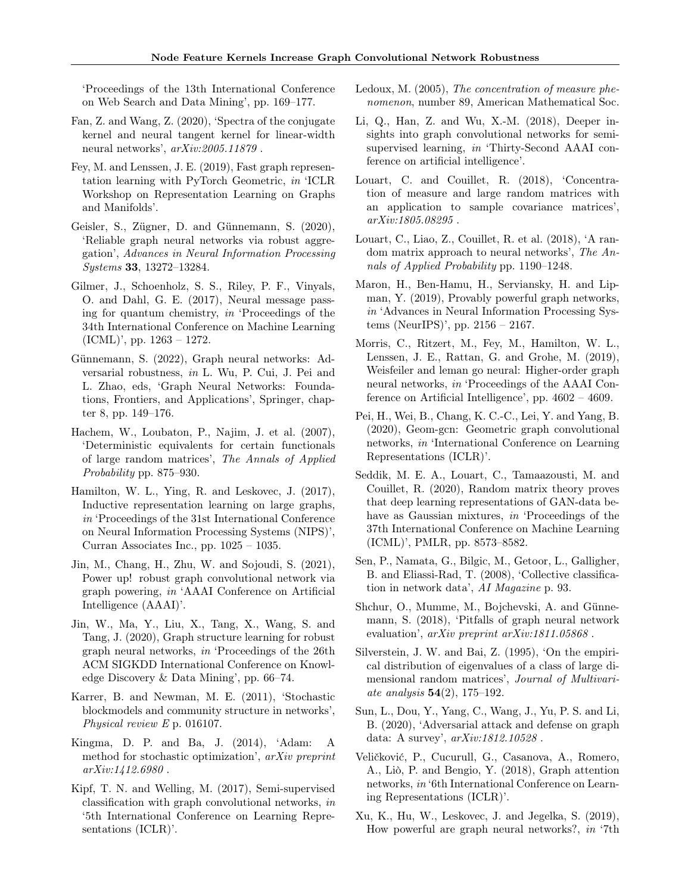'Proceedings of the 13th International Conference on Web Search and Data Mining', pp. 169–177.

- <span id="page-9-19"></span>Fan, Z. and Wang, Z. (2020), 'Spectra of the conjugate kernel and neural tangent kernel for linear-width neural networks',  $arXiv:2005.11879$ .
- <span id="page-9-24"></span>Fey, M. and Lenssen, J. E. (2019), Fast graph representation learning with PyTorch Geometric, in 'ICLR Workshop on Representation Learning on Graphs and Manifolds'.
- <span id="page-9-8"></span>Geisler, S., Zügner, D. and Günnemann, S. (2020), 'Reliable graph neural networks via robust aggregation', Advances in Neural Information Processing Systems 33, 13272–13284.
- <span id="page-9-3"></span>Gilmer, J., Schoenholz, S. S., Riley, P. F., Vinyals, O. and Dahl, G. E. (2017), Neural message passing for quantum chemistry, in 'Proceedings of the 34th International Conference on Machine Learning (ICML)', pp. 1263 – 1272.
- <span id="page-9-7"></span>Günnemann, S. (2022), Graph neural networks: Adversarial robustness, in L. Wu, P. Cui, J. Pei and L. Zhao, eds, 'Graph Neural Networks: Foundations, Frontiers, and Applications', Springer, chapter 8, pp. 149–176.
- <span id="page-9-18"></span>Hachem, W., Loubaton, P., Najim, J. et al. (2007), 'Deterministic equivalents for certain functionals of large random matrices', The Annals of Applied Probability pp. 875–930.
- <span id="page-9-0"></span>Hamilton, W. L., Ying, R. and Leskovec, J. (2017), Inductive representation learning on large graphs, in 'Proceedings of the 31st International Conference on Neural Information Processing Systems (NIPS)', Curran Associates Inc., pp. 1025 – 1035.
- <span id="page-9-9"></span>Jin, M., Chang, H., Zhu, W. and Sojoudi, S. (2021), Power up! robust graph convolutional network via graph powering, in 'AAAI Conference on Artificial Intelligence (AAAI)'.
- <span id="page-9-10"></span>Jin, W., Ma, Y., Liu, X., Tang, X., Wang, S. and Tang, J. (2020), Graph structure learning for robust graph neural networks, in 'Proceedings of the 26th ACM SIGKDD International Conference on Knowledge Discovery & Data Mining', pp. 66–74.
- <span id="page-9-15"></span>Karrer, B. and Newman, M. E. (2011), 'Stochastic blockmodels and community structure in networks', Physical review E p. 016107.
- <span id="page-9-23"></span>Kingma, D. P. and Ba, J. (2014), 'Adam: A method for stochastic optimization', arXiv preprint arXiv:1412.6980 .
- <span id="page-9-2"></span>Kipf, T. N. and Welling, M. (2017), Semi-supervised classification with graph convolutional networks, in '5th International Conference on Learning Representations (ICLR)'.
- <span id="page-9-13"></span>Ledoux, M. (2005), The concentration of measure phenomenon, number 89, American Mathematical Soc.
- <span id="page-9-16"></span>Li, Q., Han, Z. and Wu, X.-M. (2018), Deeper insights into graph convolutional networks for semisupervised learning, in 'Thirty-Second AAAI conference on artificial intelligence'.
- <span id="page-9-12"></span>Louart, C. and Couillet, R. (2018), 'Concentration of measure and large random matrices with an application to sample covariance matrices', arXiv:1805.08295 .
- <span id="page-9-17"></span>Louart, C., Liao, Z., Couillet, R. et al. (2018), 'A random matrix approach to neural networks', The Annals of Applied Probability pp. 1190–1248.
- <span id="page-9-5"></span>Maron, H., Ben-Hamu, H., Serviansky, H. and Lipman, Y. (2019), Provably powerful graph networks, in 'Advances in Neural Information Processing Systems (NeurIPS)', pp. 2156 – 2167.
- <span id="page-9-4"></span>Morris, C., Ritzert, M., Fey, M., Hamilton, W. L., Lenssen, J. E., Rattan, G. and Grohe, M. (2019), Weisfeiler and leman go neural: Higher-order graph neural networks, in 'Proceedings of the AAAI Conference on Artificial Intelligence', pp. 4602 – 4609.
- <span id="page-9-11"></span>Pei, H., Wei, B., Chang, K. C.-C., Lei, Y. and Yang, B. (2020), Geom-gcn: Geometric graph convolutional networks, in 'International Conference on Learning Representations (ICLR)'.
- <span id="page-9-14"></span>Seddik, M. E. A., Louart, C., Tamaazousti, M. and Couillet, R. (2020), Random matrix theory proves that deep learning representations of GAN-data behave as Gaussian mixtures, in 'Proceedings of the 37th International Conference on Machine Learning (ICML)', PMLR, pp. 8573–8582.
- <span id="page-9-20"></span>Sen, P., Namata, G., Bilgic, M., Getoor, L., Galligher, B. and Eliassi-Rad, T. (2008), 'Collective classification in network data', AI Magazine p. 93.
- <span id="page-9-21"></span>Shchur, O., Mumme, M., Bojchevski, A. and Günnemann, S. (2018), 'Pitfalls of graph neural network evaluation', arXiv preprint arXiv:1811.05868 .
- <span id="page-9-22"></span>Silverstein, J. W. and Bai, Z. (1995), 'On the empirical distribution of eigenvalues of a class of large dimensional random matrices', Journal of Multivariate analysis  $54(2)$ , 175-192.
- <span id="page-9-6"></span>Sun, L., Dou, Y., Yang, C., Wang, J., Yu, P. S. and Li, B. (2020), 'Adversarial attack and defense on graph data: A survey',  $arXiv:1812.10528$ .
- <span id="page-9-25"></span>Veličković, P., Cucurull, G., Casanova, A., Romero, A., Liò, P. and Bengio, Y. (2018), Graph attention networks, in '6th International Conference on Learning Representations (ICLR)'.
- <span id="page-9-1"></span>Xu, K., Hu, W., Leskovec, J. and Jegelka, S. (2019), How powerful are graph neural networks?, in '7th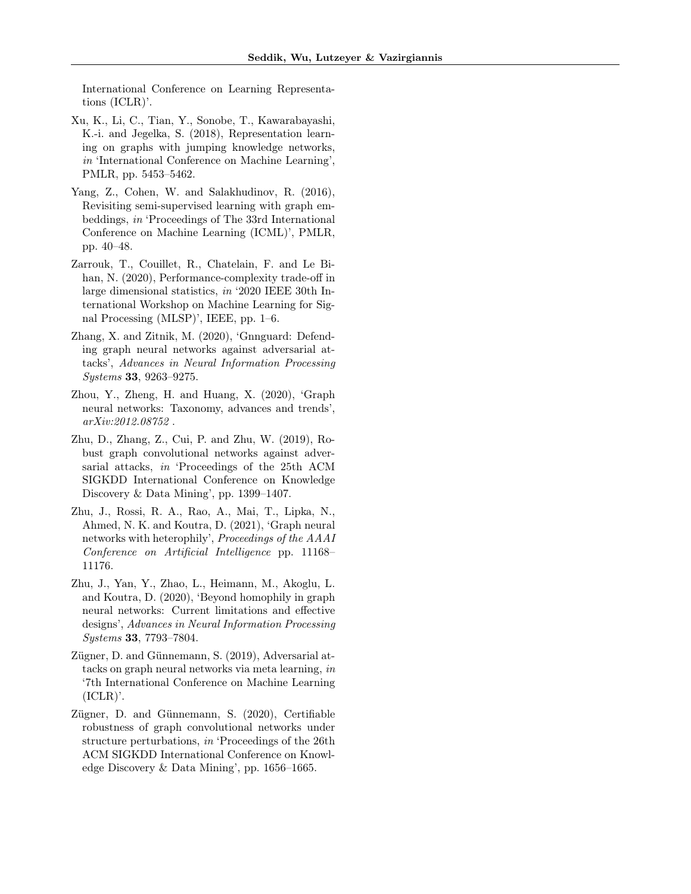International Conference on Learning Representations (ICLR)'.

- <span id="page-10-9"></span>Xu, K., Li, C., Tian, Y., Sonobe, T., Kawarabayashi, K.-i. and Jegelka, S. (2018), Representation learning on graphs with jumping knowledge networks, in 'International Conference on Machine Learning', PMLR, pp. 5453–5462.
- <span id="page-10-8"></span>Yang, Z., Cohen, W. and Salakhudinov, R. (2016), Revisiting semi-supervised learning with graph embeddings, in 'Proceedings of The 33rd International Conference on Machine Learning (ICML)', PMLR, pp. 40–48.
- <span id="page-10-7"></span>Zarrouk, T., Couillet, R., Chatelain, F. and Le Bihan, N. (2020), Performance-complexity trade-off in large dimensional statistics, in '2020 IEEE 30th International Workshop on Machine Learning for Signal Processing (MLSP)', IEEE, pp. 1–6.
- <span id="page-10-4"></span>Zhang, X. and Zitnik, M. (2020), 'Gnnguard: Defending graph neural networks against adversarial attacks', Advances in Neural Information Processing Systems 33, 9263–9275.
- <span id="page-10-1"></span>Zhou, Y., Zheng, H. and Huang, X. (2020), 'Graph neural networks: Taxonomy, advances and trends', arXiv:2012.08752 .
- <span id="page-10-3"></span>Zhu, D., Zhang, Z., Cui, P. and Zhu, W. (2019), Robust graph convolutional networks against adversarial attacks, in 'Proceedings of the 25th ACM SIGKDD International Conference on Knowledge Discovery & Data Mining', pp. 1399–1407.
- <span id="page-10-6"></span>Zhu, J., Rossi, R. A., Rao, A., Mai, T., Lipka, N., Ahmed, N. K. and Koutra, D. (2021), 'Graph neural networks with heterophily', Proceedings of the AAAI Conference on Artificial Intelligence pp. 11168– 11176.
- <span id="page-10-5"></span>Zhu, J., Yan, Y., Zhao, L., Heimann, M., Akoglu, L. and Koutra, D. (2020), 'Beyond homophily in graph neural networks: Current limitations and effective designs', Advances in Neural Information Processing Systems 33, 7793–7804.
- <span id="page-10-0"></span>Zügner, D. and Günnemann, S. (2019), Adversarial attacks on graph neural networks via meta learning, in '7th International Conference on Machine Learning (ICLR)'.
- <span id="page-10-2"></span>Zügner, D. and Günnemann, S. (2020), Certifiable robustness of graph convolutional networks under structure perturbations, in 'Proceedings of the 26th ACM SIGKDD International Conference on Knowledge Discovery & Data Mining', pp. 1656–1665.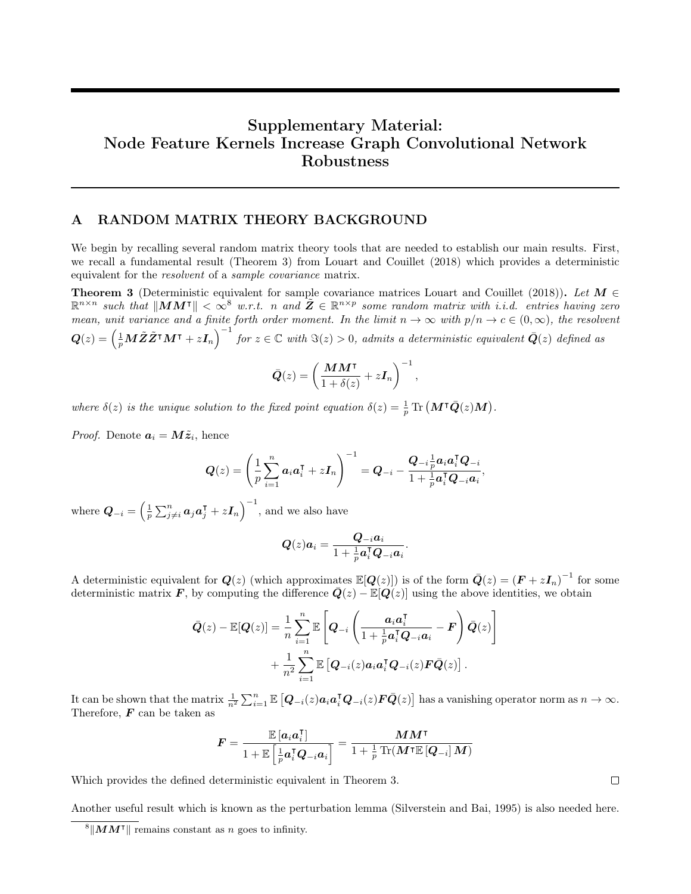# Supplementary Material: Node Feature Kernels Increase Graph Convolutional Network Robustness

# A RANDOM MATRIX THEORY BACKGROUND

We begin by recalling several random matrix theory tools that are needed to establish our main results. First, we recall a fundamental result (Theorem [3\)](#page-11-0) from [Louart and Couillet](#page-9-12) [\(2018\)](#page-9-12) which provides a deterministic equivalent for the resolvent of a sample covariance matrix.

<span id="page-11-0"></span>Theorem 3 (Deterministic equivalent for sample covariance matrices [Louart and Couillet](#page-9-12) [\(2018\)](#page-9-12)). Let  $M \in$  $\mathbb{R}^{n \times n}$  such that  $\|MM^{\intercal}\| < \infty^8$  $\|MM^{\intercal}\| < \infty^8$  w.r.t. n and  $\tilde{Z} \in \mathbb{R}^{n \times p}$  some random matrix with i.i.d. entries having zero mean, unit variance and a finite forth order moment. In the limit  $n \to \infty$  with  $p/n \to c \in (0,\infty)$ , the resolvent  $\bm{Q}(z)=\left(\frac{1}{p}\bm{M}\tilde{\bm{Z}}\tilde{\bm{Z}}^\intercal\bm{M}^\intercal+z\bm{I}_n\right)^{-1}$  for  $z\in\mathbb{C}$  with  $\Im(z)>0$ , admits a deterministic equivalent  $\bar{\bm{Q}}(z)$  defined as

$$
\bar{Q}(z) = \left(\frac{MM^{\mathsf{T}}}{1+\delta(z)} + z\bm{I}_n\right)^{-1},\,
$$

where  $\delta(z)$  is the unique solution to the fixed point equation  $\delta(z) = \frac{1}{p} \text{Tr}(\mathbf{M}^\intercal \bar{\mathbf{Q}}(z)\mathbf{M}).$ 

*Proof.* Denote  $a_i = M\tilde{z}_i$ , hence

$$
\boldsymbol{Q}(z) = \left(\frac{1}{p}\sum_{i=1}^n \boldsymbol{a}_i \boldsymbol{a}_i^{\intercal} + z\boldsymbol{I}_n\right)^{-1} = \boldsymbol{Q}_{-i} - \frac{\boldsymbol{Q}_{-i}\frac{1}{p}\boldsymbol{a}_i\boldsymbol{a}_i^{\intercal}\boldsymbol{Q}_{-i}}{1 + \frac{1}{p}\boldsymbol{a}_i^{\intercal}\boldsymbol{Q}_{-i}\boldsymbol{a}_i},
$$

where  $\bm{Q}_{-i} = \left(\frac{1}{p} \sum_{j \neq i}^{n} \bm{a}_j \bm{a}_j^{\intercal} + z \bm{I}_n\right)^{-1}$ , and we also have

$$
\boldsymbol{Q}(z)\boldsymbol{a}_i = \frac{\boldsymbol{Q}_{-i}\boldsymbol{a}_i}{1+\frac{1}{p}\boldsymbol{a}_i^\mathsf{T}\boldsymbol{Q}_{-i}\boldsymbol{a}_i}.
$$

A deterministic equivalent for  $Q(z)$  (which approximates  $\mathbb{E}[Q(z)]$ ) is of the form  $\bar{Q}(z) = (F + zI_n)^{-1}$  for some deterministic matrix F, by computing the difference  $\bar{Q}(z) - \mathbb{E}[Q(z)]$  using the above identities, we obtain

$$
\bar{Q}(z) - \mathbb{E}[Q(z)] = \frac{1}{n} \sum_{i=1}^{n} \mathbb{E}\left[Q_{-i}\left(\frac{a_i a_i^{\mathsf{T}}}{1 + \frac{1}{p} a_i^{\mathsf{T}} Q_{-i} a_i} - \mathbf{F}\right) \bar{Q}(z)\right] + \frac{1}{n^2} \sum_{i=1}^{n} \mathbb{E}\left[Q_{-i}(z) a_i a_i^{\mathsf{T}} Q_{-i}(z) \mathbf{F} \bar{Q}(z)\right].
$$

It can be shown that the matrix  $\frac{1}{n^2} \sum_{i=1}^n \mathbb{E} \left[ \mathbf{Q}_{-i}(z) \mathbf{a}_i \mathbf{a}_i^{\mathsf{T}} \mathbf{Q}_{-i}(z) \mathbf{F} \bar{\mathbf{Q}}(z) \right]$  has a vanishing operator norm as  $n \to \infty$ . Therefore,  $\boldsymbol{F}$  can be taken as

$$
\boldsymbol{F} = \frac{\mathbb{E}\left[\boldsymbol{a}_i \boldsymbol{a}_i^\intercal\right]}{1 + \mathbb{E}\left[\frac{1}{p}\boldsymbol{a}_i^\intercal \boldsymbol{Q}_{-i}\boldsymbol{a}_i\right]} = \frac{\boldsymbol{M}\boldsymbol{M}^\intercal}{1 + \frac{1}{p}\operatorname{Tr}(\boldsymbol{M}^\intercal \mathbb{E}\left[\boldsymbol{Q}_{-i}\right]\boldsymbol{M})}
$$

Which provides the defined deterministic equivalent in Theorem [3.](#page-11-0)

Another useful result which is known as the perturbation lemma [\(Silverstein and Bai, 1995\)](#page-9-22) is also needed here.

 $\Box$ 

<span id="page-11-1"></span> $\frac{8}{1}$  MM<sup>T</sup> remains constant as n goes to infinity.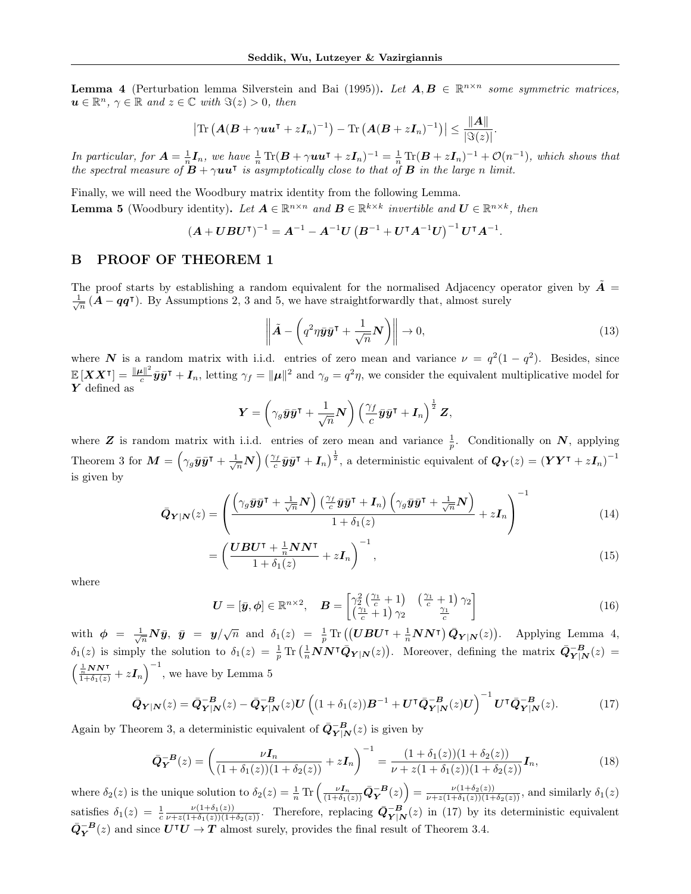<span id="page-12-0"></span>**Lemma 4** (Perturbation lemma [Silverstein and Bai](#page-9-22) [\(1995\)](#page-9-22)). Let  $A, B \in \mathbb{R}^{n \times n}$  some symmetric matrices,  $u \in \mathbb{R}^n$ ,  $\gamma \in \mathbb{R}$  and  $z \in \mathbb{C}$  with  $\Im(z) > 0$ , then

$$
\left|\text{Tr}\left(\boldsymbol{A}(\boldsymbol{B}+\gamma \boldsymbol{u}\boldsymbol{u}^{\intercal}+z\boldsymbol{I}_n)^{-1}\right)-\text{Tr}\left(\boldsymbol{A}(\boldsymbol{B}+z\boldsymbol{I}_n)^{-1}\right)\right|\leq \frac{\|\boldsymbol{A}\|}{|\Im(z)|}.
$$

In particular, for  $A = \frac{1}{n} I_n$ , we have  $\frac{1}{n} \text{Tr}(B + \gamma uu^{\intercal} + zI_n)^{-1} = \frac{1}{n} \text{Tr}(B + zI_n)^{-1} + \mathcal{O}(n^{-1})$ , which shows that the spectral measure of  $\vec{B} + \gamma \vec{u} \vec{u}$  is asymptotically close to that of  $\vec{B}$  in the large n limit.

<span id="page-12-1"></span>Finally, we will need the Woodbury matrix identity from the following Lemma. **Lemma 5** (Woodbury identity). Let  $A \in \mathbb{R}^{n \times n}$  and  $B \in \mathbb{R}^{k \times k}$  invertible and  $U \in \mathbb{R}^{n \times k}$ , then

$$
\left(\bm{A} + \bm{U}\bm{B}\bm{U}^{\intercal}\right)^{-1} = \bm{A}^{-1} - \bm{A}^{-1}\bm{U}\left(\bm{B}^{-1} + \bm{U}^{\intercal}\bm{A}^{-1}\bm{U}\right)^{-1}\bm{U}^{\intercal}\bm{A}^{-1}.
$$

### <span id="page-12-3"></span>B PROOF OF THEOREM [1](#page-4-1)

The proof starts by establishing a random equivalent for the normalised Adjacency operator given by  $\tilde{A}$  =  $\frac{1}{\sqrt{n}} (\mathbf{A} - \mathbf{q}\mathbf{q}^{\mathsf{T}})$ . By Assumptions 2, 3 and 5, we have straightforwardly that, almost surely

$$
\left\| \tilde{\mathbf{A}} - \left( q^2 \eta \bar{\mathbf{y}} \bar{\mathbf{y}}^\mathsf{T} + \frac{1}{\sqrt{n}} \mathbf{N} \right) \right\| \to 0, \tag{13}
$$

where N is a random matrix with i.i.d. entries of zero mean and variance  $\nu = q^2(1-q^2)$ . Besides, since  $\mathbb{E}\left[\boldsymbol{X}\boldsymbol{X}^{\intercal}\right] = \frac{\|\boldsymbol{\mu}\|^2}{c}$  $\frac{d\mathbf{r}}{c}\bar{\mathbf{y}}\bar{\mathbf{y}}$ <sup>T</sup> +  $\mathbf{I}_n$ , letting  $\gamma_f = \|\boldsymbol{\mu}\|^2$  and  $\gamma_g = q^2\eta$ , we consider the equivalent multiplicative model for  $Y$  defined as

$$
\boldsymbol{Y} = \left(\gamma_g \bar{\boldsymbol{y}} \bar{\boldsymbol{y}}^{\intercal} + \frac{1}{\sqrt{n}} \boldsymbol{N}\right) \left(\frac{\gamma_f}{c} \bar{\boldsymbol{y}} \bar{\boldsymbol{y}}^{\intercal} + \boldsymbol{I}_n\right)^{\frac{1}{2}} \boldsymbol{Z},
$$

where **Z** is random matrix with i.i.d. entries of zero mean and variance  $\frac{1}{p}$ . Conditionally on N, applying Theorem [3](#page-11-0) for  $M = \left(\gamma_g \bar{y}\bar{y}^{\intercal} + \frac{1}{\sqrt{n}}N\right)\left(\frac{\gamma_f}{c}\bar{y}\bar{y}^{\intercal} + I_n\right)^{\frac{1}{2}}$ , a deterministic equivalent of  $Q_Y(z) = (YY^{\intercal} + zI_n)^{-1}$ is given by

$$
\bar{Q}_{Y|N}(z) = \left( \frac{\left(\gamma_g \bar{y} \bar{y}^\mathsf{T} + \frac{1}{\sqrt{n}} N\right) \left(\frac{\gamma_f}{c} \bar{y} \bar{y}^\mathsf{T} + \mathbf{I}_n\right) \left(\gamma_g \bar{y} \bar{y}^\mathsf{T} + \frac{1}{\sqrt{n}} N\right)}{1 + \delta_1(z)} + z \mathbf{I}_n \right)^{-1} \tag{14}
$$

$$
=\left(\frac{\boldsymbol{UBU^{\intercal}}+\frac{1}{n}\boldsymbol{NN^{\intercal}}}{1+\delta_1(z)}+z\boldsymbol{I}_n\right)^{-1},\tag{15}
$$

where

<span id="page-12-2"></span>
$$
\boldsymbol{U} = [\bar{\boldsymbol{y}}, \boldsymbol{\phi}] \in \mathbb{R}^{n \times 2}, \quad \boldsymbol{B} = \begin{bmatrix} \gamma_2^2 \left( \frac{\gamma_1}{c} + 1 \right) & \left( \frac{\gamma_1}{c} + 1 \right) \gamma_2 \\ \left( \frac{\gamma_1}{c} + 1 \right) \gamma_2 & \frac{\gamma_1}{c} \end{bmatrix} \tag{16}
$$

with  $\phi = \frac{1}{\sqrt{n}} N \bar{y}$ ,  $\bar{y} = y/\sqrt{n}$  and  $\delta_1(z) = \frac{1}{p} \text{Tr} \left( (\bm{U} \bm{B} \bm{U}^{\intercal} + \frac{1}{n} \bm{N} \bm{N}^{\intercal}) \bar{\bm{Q}}_{\bm{Y}|\bm{N}}(z) \right)$ . Applying Lemma [4,](#page-12-0)  $\delta_1(z)$  is simply the solution to  $\delta_1(z) = \frac{1}{p} \text{Tr} \left( \frac{1}{n} N N^{\intercal} \bar{Q}_{Y|N}(z) \right)$ . Moreover, defining the matrix  $\bar{Q}_{Y|N}^{-B}(z) =$  $\left(\frac{\frac{1}{n}NN^{\intercal}}{1+\delta_1(z)}+z\boldsymbol{I}_n\right)^{-1}$ , we have by Lemma [5](#page-12-1)

$$
\bar{Q}_{Y|N}(z) = \bar{Q}_{Y|N}^{-B}(z) - \bar{Q}_{Y|N}^{-B}(z)U((1+\delta_1(z))B^{-1} + U^{T}\bar{Q}_{Y|N}^{-B}(z)U)^{-1}U^{T}\bar{Q}_{Y|N}^{-B}(z).
$$
 (17)

Again by Theorem [3,](#page-11-0) a deterministic equivalent of  $\bar{Q}_{Y|N}^{-B}(z)$  is given by

$$
\bar{Q}_{Y}^{-B}(z) = \left(\frac{\nu I_{n}}{(1+\delta_{1}(z))(1+\delta_{2}(z))} + zI_{n}\right)^{-1} = \frac{(1+\delta_{1}(z))(1+\delta_{2}(z))}{\nu + z(1+\delta_{1}(z))(1+\delta_{2}(z))}I_{n},\tag{18}
$$

where  $\delta_2(z)$  is the unique solution to  $\delta_2(z) = \frac{1}{n} \operatorname{Tr} \left( \frac{\nu I_n}{(1 + \delta_1(z))} \bar{Q}_Y^{-B}(z) \right) = \frac{\nu (1 + \delta_2(z))}{\nu + z(1 + \delta_1(z))(1 + \delta_2(z))}$ , and similarly  $\delta_1(z)$ satisfies  $\delta_1(z) = \frac{1}{c} \frac{\nu(1+\delta_1(z))}{\nu+z(1+\delta_1(z))(1+\delta_2(z))}$ . Therefore, replacing  $\bar{Q}_{Y|N}^{-B}(z)$  in [\(17\)](#page-12-2) by its deterministic equivalent  $\bar{Q}_Y^{-B}(z)$  and since  $\overline{U^{\dagger}U} \to \overline{T}$  almost surely, provides the final result of Theorem 3.4.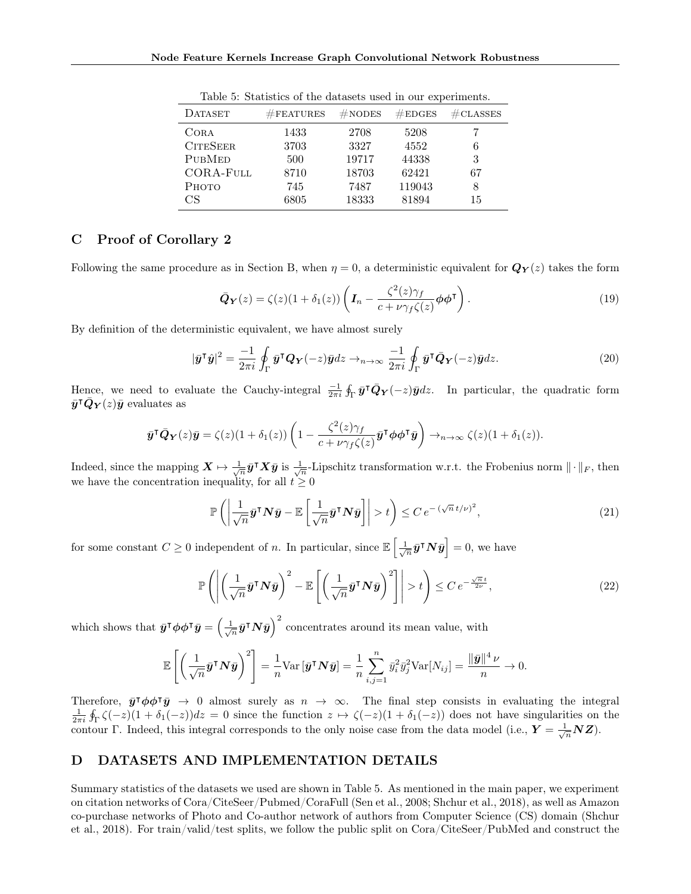| $\#$ FEATURES | $#$ NODES | #EDGES | $\#\texttt{CLASSES}$ |
|---------------|-----------|--------|----------------------|
| 1433          | 2708      | 5208   |                      |
| 3703          | 3327      | 4552   | 6                    |
| 500           | 19717     | 44338  | 3                    |
| 8710          | 18703     | 62421  | 67                   |
| 745           | 7487      | 119043 | 8                    |
| 6805          | 18333     | 81894  | 15                   |
|               |           |        |                      |

<span id="page-13-1"></span>Table 5: Statistics of the datasets used in our experiments.

# C Proof of Corollary [2](#page-4-3)

Following the same procedure as in Section [B,](#page-12-3) when  $\eta = 0$ , a deterministic equivalent for  $\mathbf{Q}_{\mathbf{Y}}(z)$  takes the form

$$
\bar{\mathbf{Q}}_{\mathbf{Y}}(z) = \zeta(z)(1 + \delta_1(z)) \left( \mathbf{I}_n - \frac{\zeta^2(z)\gamma_f}{c + \nu \gamma_f \zeta(z)} \phi \phi^{\mathsf{T}} \right). \tag{19}
$$

By definition of the deterministic equivalent, we have almost surely

$$
|\bar{\mathbf{y}}^{\mathsf{T}}\hat{\mathbf{y}}|^2 = \frac{-1}{2\pi i} \oint_{\Gamma} \bar{\mathbf{y}}^{\mathsf{T}} \mathbf{Q}_{\mathbf{Y}}(-z) \bar{\mathbf{y}} dz \to_{n \to \infty} \frac{-1}{2\pi i} \oint_{\Gamma} \bar{\mathbf{y}}^{\mathsf{T}} \bar{\mathbf{Q}}_{\mathbf{Y}}(-z) \bar{\mathbf{y}} dz.
$$
 (20)

Hence, we need to evaluate the Cauchy-integral  $\frac{-1}{2\pi i} \oint_{\Gamma} \bar{y}^{\mathsf{T}} \bar{Q}_{Y}(-z) \bar{y} dz$ . In particular, the quadratic form  $\bar{y}^{\intercal}\bar{Q}_{Y}(z)\bar{y}$  evaluates as

$$
\bar{\mathbf{y}}^{\mathsf{T}}\bar{\mathbf{Q}}_{\mathbf{Y}}(z)\bar{\mathbf{y}} = \zeta(z)(1+\delta_1(z))\left(1-\frac{\zeta^2(z)\gamma_f}{c+\nu\gamma_f\zeta(z)}\bar{\mathbf{y}}^{\mathsf{T}}\boldsymbol{\phi}\boldsymbol{\phi}^{\mathsf{T}}\bar{\mathbf{y}}\right) \to_{n\to\infty} \zeta(z)(1+\delta_1(z)).
$$

Indeed, since the mapping  $\mathbf{X} \mapsto \frac{1}{\sqrt{n}} \bar{\mathbf{y}}^\mathsf{T} \mathbf{X} \bar{\mathbf{y}}$  is  $\frac{1}{\sqrt{n}}$ -Lipschitz transformation w.r.t. the Frobenius norm  $\|\cdot\|_F$ , then we have the concentration inequality, for all  $t \geq 0$ 

$$
\mathbb{P}\left(\left|\frac{1}{\sqrt{n}}\bar{\mathbf{y}}^{\mathsf{T}}\mathbf{N}\bar{\mathbf{y}} - \mathbb{E}\left[\frac{1}{\sqrt{n}}\bar{\mathbf{y}}^{\mathsf{T}}\mathbf{N}\bar{\mathbf{y}}\right]\right| > t\right) \leq C \, e^{-\left(\sqrt{n}\,t/\nu\right)^2},\tag{21}
$$

for some constant  $C \geq 0$  independent of n. In particular, since  $\mathbb{E}\left[\frac{1}{\sqrt{n}}\bar{\bm{y}}^{\intercal}\bm{N}\bar{\bm{y}}\right] = 0$ , we have

$$
\mathbb{P}\left(\left|\left(\frac{1}{\sqrt{n}}\bar{\mathbf{y}}^{\mathsf{T}}\mathbf{N}\bar{\mathbf{y}}\right)^{2} - \mathbb{E}\left[\left(\frac{1}{\sqrt{n}}\bar{\mathbf{y}}^{\mathsf{T}}\mathbf{N}\bar{\mathbf{y}}\right)^{2}\right]\right| > t\right) \leq C e^{-\frac{\sqrt{n}t}{2\nu}},\tag{22}
$$

which shows that  $\bar{y}^T \phi \phi^T \bar{y} = \left(\frac{1}{\sqrt{n}} \bar{y}^T N \bar{y}\right)^2$  concentrates around its mean value, with

$$
\mathbb{E}\left[\left(\frac{1}{\sqrt{n}}\bar{\mathbf{y}}^{\mathsf{T}}\mathbf{N}\bar{\mathbf{y}}\right)^{2}\right] = \frac{1}{n}\text{Var}\left[\bar{\mathbf{y}}^{\mathsf{T}}\mathbf{N}\bar{\mathbf{y}}\right] = \frac{1}{n}\sum_{i,j=1}^{n}\bar{y}_{i}^{2}\bar{y}_{j}^{2}\text{Var}[N_{ij}] = \frac{\|\bar{\mathbf{y}}\|^{4}\nu}{n} \to 0.
$$

Therefore,  $\bar{y}^T \phi \phi^T \bar{y} \to 0$  almost surely as  $n \to \infty$ . The final step consists in evaluating the integral  $\frac{1}{2\pi i}\oint_{\Gamma}\zeta(-z)(1+\delta_{1}(-z))dz=0$  since the function  $z\mapsto \zeta(-z)(1+\delta_{1}(-z))$  does not have singularities on the contour Γ. Indeed, this integral corresponds to the only noise case from the data model (i.e.,  $Y = \frac{1}{\sqrt{n}}NZ$ ).

## <span id="page-13-0"></span>D DATASETS AND IMPLEMENTATION DETAILS

Summary statistics of the datasets we used are shown in Table [5.](#page-13-1) As mentioned in the main paper, we experiment on citation networks of Cora/CiteSeer/Pubmed/CoraFull [\(Sen et al., 2008;](#page-9-20) [Shchur et al., 2018\)](#page-9-21), as well as Amazon co-purchase networks of Photo and Co-author network of authors from Computer Science (CS) domain [\(Shchur](#page-9-21) [et al., 2018\)](#page-9-21). For train/valid/test splits, we follow the public split on Cora/CiteSeer/PubMed and construct the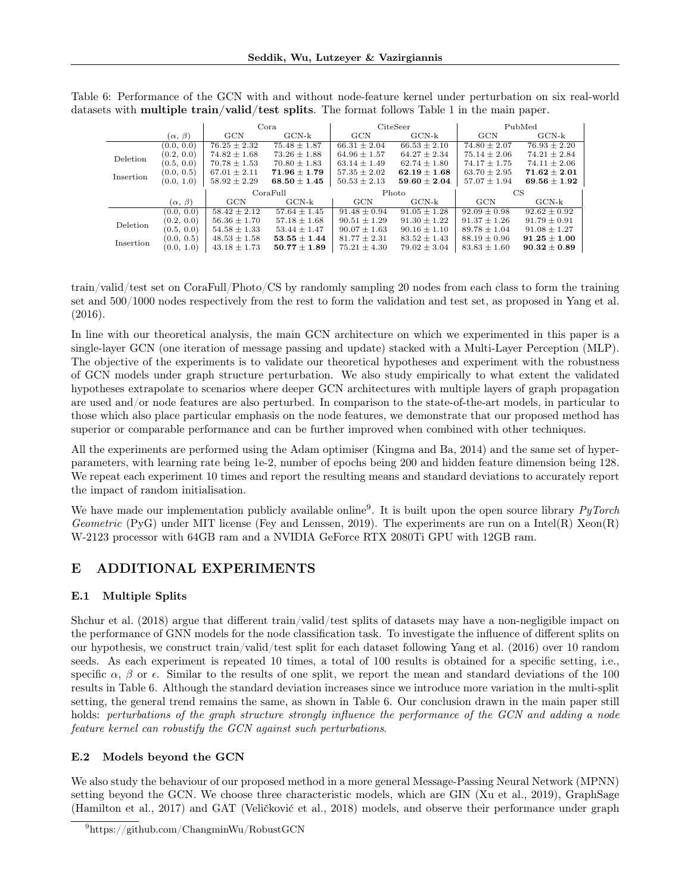<span id="page-14-2"></span>

|           |                   | Cora             |                  | CiteSeer         |                  | PubMed           |                  |
|-----------|-------------------|------------------|------------------|------------------|------------------|------------------|------------------|
|           | $(\alpha, \beta)$ | GCN              | $GCN-k$          | <b>GCN</b>       | $GCN-k$          | GCN              | $GCN-k$          |
|           | (0.0, 0.0)        | $76.25 \pm 2.32$ | $75.48 + 1.87$   | $66.31 + 2.04$   | $66.53 + 2.10$   | $74.80 + 2.07$   | $76.93 + 2.20$   |
| Deletion  | (0.2, 0.0)        | $74.82 \pm 1.68$ | $73.26 \pm 1.88$ | $64.96 \pm 1.57$ | $64.27 \pm 2.34$ | $75.14 \pm 2.06$ | $74.21 \pm 2.84$ |
|           | (0.5, 0.0)        | $70.78 \pm 1.53$ | $70.80 \pm 1.83$ | $63.14 \pm 1.49$ | $62.74 \pm 1.80$ | $74.17 \pm 1.75$ | $74.11 \pm 2.06$ |
| Insertion | (0.0, 0.5)        | $67.01 \pm 2.11$ | $71.96 \pm 1.79$ | $57.35 \pm 2.02$ | $62.19 \pm 1.68$ | $63.70 \pm 2.95$ | $71.62 \pm 2.01$ |
|           | (0.0, 1.0)        | $58.92 \pm 2.29$ | $68.50 \pm 1.45$ | $50.53 \pm 2.13$ | $59.60 \pm 2.04$ | $57.07 \pm 1.94$ | $69.56 \pm 1.92$ |
|           |                   | CoraFull         |                  |                  |                  |                  |                  |
|           |                   |                  |                  |                  | Photo            |                  | CS               |
|           | $(\alpha, \beta)$ | GCN              | $GCN-k$          | GCN              | $GCN-k$          | GCN              | $GCN-k$          |
|           | (0.0, 0.0)        | $58.42 \pm 2.12$ | $57.64 \pm 1.45$ | $91.48 \pm 0.94$ | $91.05 + 1.28$   | $92.09 \pm 0.98$ | $92.62 \pm 0.92$ |
|           | (0.2, 0.0)        | $56.36 \pm 1.70$ | $57.18 \pm 1.68$ | $90.51 \pm 1.29$ | $91.30 \pm 1.22$ | $91.37 \pm 1.26$ | $91.79 \pm 0.91$ |
| Deletion  | (0.5, 0.0)        | $54.58 + 1.33$   | $53.44 + 1.47$   | $90.07 + 1.63$   | $90.16 + 1.10$   | $89.78 + 1.04$   | $91.08 + 1.27$   |
| Insertion | (0.0, 0.5)        | $48.53 \pm 1.58$ | $53.55 \pm 1.44$ | $81.77 \pm 2.31$ | $83.52 \pm 1.43$ | $88.19 \pm 0.96$ | $91.25 \pm 1.00$ |

Table 6: Performance of the GCN with and without node-feature kernel under perturbation on six real-world datasets with **multiple train/valid/test splits**. The format follows Table 1 in the main paper.

train/valid/test set on CoraFull/Photo/CS by randomly sampling 20 nodes from each class to form the training set and 500/1000 nodes respectively from the rest to form the validation and test set, as proposed in [Yang et al.](#page-10-8) [\(2016\)](#page-10-8).

In line with our theoretical analysis, the main GCN architecture on which we experimented in this paper is a single-layer GCN (one iteration of message passing and update) stacked with a Multi-Layer Perception (MLP). The objective of the experiments is to validate our theoretical hypotheses and experiment with the robustness of GCN models under graph structure perturbation. We also study empirically to what extent the validated hypotheses extrapolate to scenarios where deeper GCN architectures with multiple layers of graph propagation are used and/or node features are also perturbed. In comparison to the state-of-the-art models, in particular to those which also place particular emphasis on the node features, we demonstrate that our proposed method has superior or comparable performance and can be further improved when combined with other techniques.

All the experiments are performed using the Adam optimiser [\(Kingma and Ba, 2014\)](#page-9-23) and the same set of hyperparameters, with learning rate being 1e-2, number of epochs being 200 and hidden feature dimension being 128. We repeat each experiment 10 times and report the resulting means and standard deviations to accurately report the impact of random initialisation.

We have made our implementation publicly available online<sup>[9](#page-14-1)</sup>. It is built upon the open source library  $PyTorch$ Geometric (PyG) under MIT license [\(Fey and Lenssen, 2019\)](#page-9-24). The experiments are run on a Intel(R) Xeon(R) W-2123 processor with 64GB ram and a NVIDIA GeForce RTX 2080Ti GPU with 12GB ram.

# <span id="page-14-0"></span>E ADDITIONAL EXPERIMENTS

# E.1 Multiple Splits

[Shchur et al.](#page-9-21) [\(2018\)](#page-9-21) argue that different train/valid/test splits of datasets may have a non-negligible impact on the performance of GNN models for the node classification task. To investigate the influence of different splits on our hypothesis, we construct train/valid/test split for each dataset following [Yang et al.](#page-10-8) [\(2016\)](#page-10-8) over 10 random seeds. As each experiment is repeated 10 times, a total of 100 results is obtained for a specific setting, i.e., specific  $\alpha$ ,  $\beta$  or  $\epsilon$ . Similar to the results of one split, we report the mean and standard deviations of the 100 results in Table [6.](#page-14-2) Although the standard deviation increases since we introduce more variation in the multi-split setting, the general trend remains the same, as shown in Table [6.](#page-14-2) Our conclusion drawn in the main paper still holds: perturbations of the graph structure strongly influence the performance of the GCN and adding a node feature kernel can robustify the GCN against such perturbations.

# E.2 Models beyond the GCN

We also study the behaviour of our proposed method in a more general Message-Passing Neural Network (MPNN) setting beyond the GCN. We choose three characteristic models, which are GIN [\(Xu et al., 2019\)](#page-9-1), GraphSage [\(Hamilton et al., 2017\)](#page-9-0) and GAT [\(Veličković et al., 2018\)](#page-9-25) models, and observe their performance under graph

<span id="page-14-1"></span><sup>9</sup><https://github.com/ChangminWu/RobustGCN>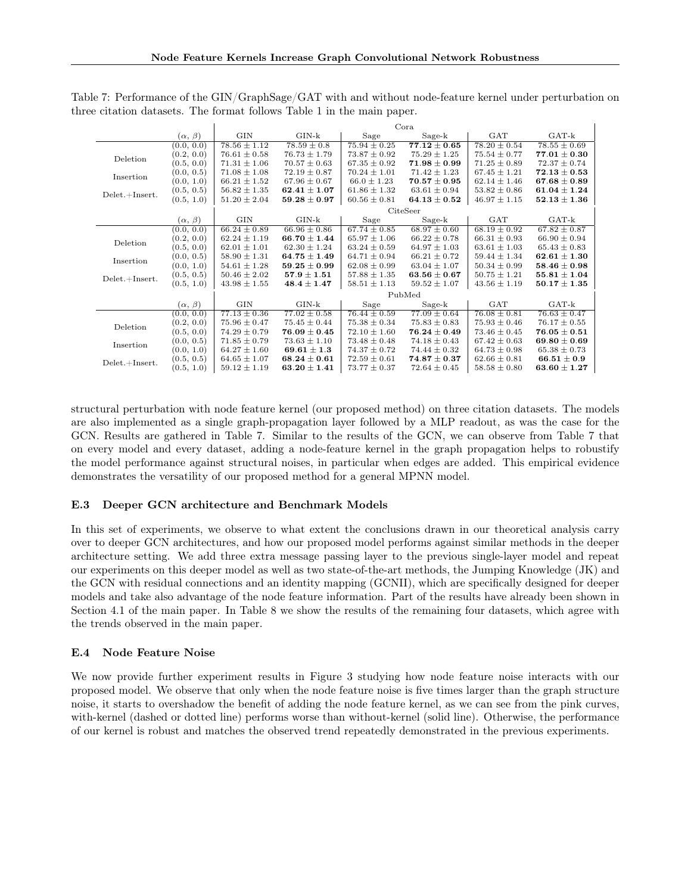<span id="page-15-0"></span>

|                  |                   |                  |                    |                  | Cora             |                  |                  |  |
|------------------|-------------------|------------------|--------------------|------------------|------------------|------------------|------------------|--|
|                  | $(\alpha, \beta)$ | <b>GIN</b>       | $GIN-k$            | Sage             | $Sage-k$         | GAT              | $GAT-k$          |  |
|                  | (0.0, 0.0)        | $78.56 \pm 1.12$ | $78.59 \pm 0.8$    | $75.94 \pm 0.25$ | $77.12 \pm 0.65$ | $78.20 \pm 0.54$ | $78.55 \pm 0.69$ |  |
| Deletion         | (0.2, 0.0)        | $76.61 \pm 0.58$ | $76.73 \pm 1.79$   | $73.87 \pm 0.92$ | $75.29 \pm 1.25$ | $75.54 \pm 0.77$ | $77.01 \pm 0.30$ |  |
|                  | (0.5, 0.0)        | $71.31 \pm 1.06$ | $70.57 \pm 0.63$   | $67.35 \pm 0.92$ | $71.98 \pm 0.99$ | $71.25 \pm 0.89$ | $72.37 \pm 0.74$ |  |
| Insertion        | (0.0, 0.5)        | $71.08 \pm 1.08$ | $72.19 \pm 0.87$   | $70.24 \pm 1.01$ | $71.42 \pm 1.23$ | $67.45 \pm 1.21$ | $72.13 \pm 0.53$ |  |
|                  | (0.0, 1.0)        | $66.21 \pm 1.52$ | $67.96 \pm 0.67$   | $66.0 \pm 1.23$  | $70.57 \pm 0.95$ | $62.14 \pm 1.46$ | $67.68 \pm 0.89$ |  |
| $Delet.+Insert.$ | (0.5, 0.5)        | $56.82 \pm 1.35$ | $62.41 \pm 1.07$   | $61.86 \pm 1.32$ | $63.61 \pm 0.94$ | $53.82 \pm 0.86$ | $61.04 \pm 1.24$ |  |
|                  | (0.5, 1.0)        | $51.20 \pm 2.04$ | $59.28 \pm 0.97$   | $60.56 \pm 0.81$ | $64.13 \pm 0.52$ | $46.97 \pm 1.15$ | $52.13 \pm 1.36$ |  |
|                  |                   |                  |                    |                  | CiteSeer         |                  |                  |  |
|                  | $(\alpha, \beta)$ | <b>GIN</b>       | $\rm GIN\text{-}k$ | Sage             | $Sage-k$         | GAT              | $GAT-k$          |  |
|                  | (0.0, 0.0)        | $66.24 \pm 0.89$ | $66.96 \pm 0.86$   | $67.74 \pm 0.85$ | $68.97 \pm 0.60$ | $68.19 \pm 0.92$ | $67.82 \pm 0.87$ |  |
| Deletion         | (0.2, 0.0)        | $62.24 \pm 1.19$ | $66.70 \pm 1.44$   | $65.97 \pm 1.06$ | $66.22 \pm 0.78$ | $66.31 \pm 0.93$ | $66.90 \pm 0.94$ |  |
|                  | (0.5, 0.0)        | $62.01 \pm 1.01$ | $62.30 \pm 1.24$   | $63.24 \pm 0.59$ | $64.97 \pm 1.03$ | $63.61 \pm 1.03$ | $65.43 \pm 0.83$ |  |
| Insertion        | (0.0, 0.5)        | $58.90 \pm 1.31$ | $64.75 \pm 1.49$   | $64.71 \pm 0.94$ | $66.21 \pm 0.72$ | $59.44 \pm 1.34$ | $62.61 \pm 1.30$ |  |
|                  | (0.0, 1.0)        | $54.61 \pm 1.28$ | $59.25 \pm 0.99$   | $62.08 \pm 0.99$ | $63.04 \pm 1.07$ | $50.34 \pm 0.99$ | $58.46 \pm 0.98$ |  |
| $Delet.+Insert.$ | (0.5, 0.5)        | $50.46 \pm 2.02$ | $57.9 \pm 1.51$    | $57.88 \pm 1.35$ | $63.56 \pm 0.67$ | $50.75 \pm 1.21$ | $55.81 \pm 1.04$ |  |
|                  | (0.5, 1.0)        | $43.98 \pm 1.55$ | $48.4 \pm 1.47$    | $58.51 \pm 1.13$ | $59.52 \pm 1.07$ | $43.56 \pm 1.19$ | $50.17 \pm 1.35$ |  |
|                  |                   |                  | PubMed             |                  |                  |                  |                  |  |
|                  | $(\alpha, \beta)$ | <b>GIN</b>       | $GIN-k$            | Sage             | $Sage-k$         | <b>GAT</b>       | $GAT-k$          |  |
|                  | (0.0, 0.0)        | $77.13 \pm 0.36$ | $77.02 \pm 0.58$   | $76.44 \pm 0.59$ | $77.09 \pm 0.64$ | $76.08 \pm 0.81$ | $76.63 \pm 0.47$ |  |
| Deletion         | (0.2, 0.0)        | $75.96 \pm 0.47$ | $75.45 \pm 0.44$   | $75.38 \pm 0.34$ | $75.83 \pm 0.83$ | $75.93 \pm 0.46$ | $76.17 \pm 0.55$ |  |
|                  | (0.5, 0.0)        | $74.29 \pm 0.79$ | $76.09 \pm 0.45$   | $72.10 \pm 1.60$ | $76.24 \pm 0.49$ | $73.46 \pm 0.45$ | $76.05 \pm 0.51$ |  |
| Insertion        | (0.0, 0.5)        | $71.85 \pm 0.79$ | $73.63 \pm 1.10$   | $73.48 \pm 0.48$ | $74.18 \pm 0.43$ | $67.42 \pm 0.63$ | $69.80 \pm 0.69$ |  |
|                  | (0.0, 1.0)        | $64.27 \pm 1.60$ | $69.61 \pm 1.3$    | $74.37 \pm 0.72$ | $74.44 \pm 0.32$ | $64.73 \pm 0.98$ | $65.38 \pm 0.73$ |  |
| $Delet.+Insert.$ | (0.5, 0.5)        | $64.65 \pm 1.07$ | $68.24 \pm 0.61$   | $72.59 \pm 0.61$ | $74.87 \pm 0.37$ | $62.66 \pm 0.81$ | $66.51 \pm 0.9$  |  |
|                  | (0.5, 1.0)        | $59.12 \pm 1.19$ | $63.20 \pm 1.41$   | $73.77 \pm 0.37$ | $72.64 \pm 0.45$ | $58.58 \pm 0.80$ | $63.60 \pm 1.27$ |  |

Table 7: Performance of the GIN/GraphSage/GAT with and without node-feature kernel under perturbation on three citation datasets. The format follows Table 1 in the main paper.

structural perturbation with node feature kernel (our proposed method) on three citation datasets. The models are also implemented as a single graph-propagation layer followed by a MLP readout, as was the case for the GCN. Results are gathered in Table [7.](#page-15-0) Similar to the results of the GCN, we can observe from Table [7](#page-15-0) that on every model and every dataset, adding a node-feature kernel in the graph propagation helps to robustify the model performance against structural noises, in particular when edges are added. This empirical evidence demonstrates the versatility of our proposed method for a general MPNN model.

#### E.3 Deeper GCN architecture and Benchmark Models

In this set of experiments, we observe to what extent the conclusions drawn in our theoretical analysis carry over to deeper GCN architectures, and how our proposed model performs against similar methods in the deeper architecture setting. We add three extra message passing layer to the previous single-layer model and repeat our experiments on this deeper model as well as two state-of-the-art methods, the Jumping Knowledge (JK) and the GCN with residual connections and an identity mapping (GCNII), which are specifically designed for deeper models and take also advantage of the node feature information. Part of the results have already been shown in Section 4.1 of the main paper. In Table [8](#page-16-0) we show the results of the remaining four datasets, which agree with the trends observed in the main paper.

### E.4 Node Feature Noise

We now provide further experiment results in Figure [3](#page-16-1) studying how node feature noise interacts with our proposed model. We observe that only when the node feature noise is five times larger than the graph structure noise, it starts to overshadow the benefit of adding the node feature kernel, as we can see from the pink curves, with-kernel (dashed or dotted line) performs worse than without-kernel (solid line). Otherwise, the performance of our kernel is robust and matches the observed trend repeatedly demonstrated in the previous experiments.